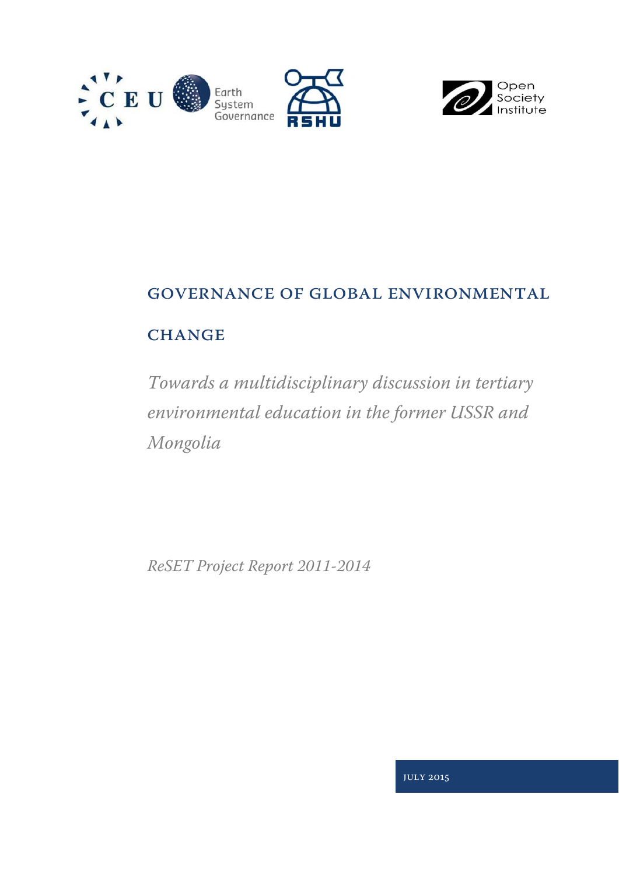



# Governance of Global Environmental

## **CHANGE**

*Towards a multidisciplinary discussion in tertiary environmental education in the former USSR and Mongolia*

*ReSET Project Report 2011-2014* 

July 2015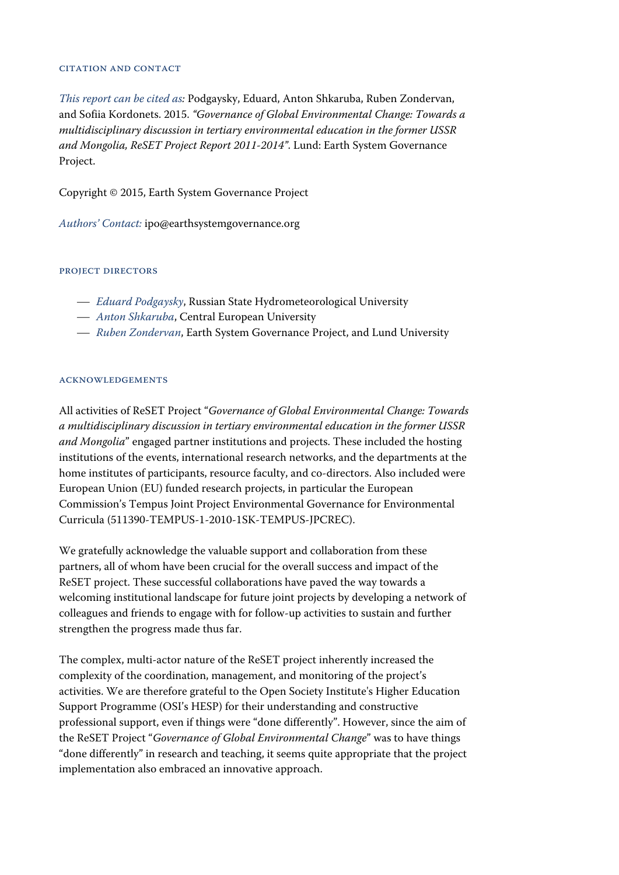#### Citation and Contact

*This report can be cited as:* Podgaysky, Eduard, Anton Shkaruba, Ruben Zondervan, and Sofiia Kordonets. 2015. *"Governance of Global Environmental Change: Towards a multidisciplinary discussion in tertiary environmental education in the former USSR and Mongolia, ReSET Project Report 2011-2014"*. Lund: Earth System Governance Project.

Copyright © 2015, Earth System Governance Project

*Authors' Contact:* ipo@earthsystemgovernance.org

#### PROJECT DIRECTORS

- *Eduard Podgaysky*, Russian State Hydrometeorological University
- *Anton Shkaruba*, Central European University
- *Ruben Zondervan*, Earth System Governance Project, and Lund University

#### **ACKNOWLEDGEMENTS**

All activities of ReSET Project "*Governance of Global Environmental Change: Towards a multidisciplinary discussion in tertiary environmental education in the former USSR and Mongolia*" engaged partner institutions and projects. These included the hosting institutions of the events, international research networks, and the departments at the home institutes of participants, resource faculty, and co-directors. Also included were European Union (EU) funded research projects, in particular the European Commission's Tempus Joint Project Environmental Governance for Environmental Curricula (511390-TEMPUS-1-2010-1SK-TEMPUS-JPCREC).

We gratefully acknowledge the valuable support and collaboration from these partners, all of whom have been crucial for the overall success and impact of the ReSET project. These successful collaborations have paved the way towards a welcoming institutional landscape for future joint projects by developing a network of colleagues and friends to engage with for follow-up activities to sustain and further strengthen the progress made thus far.

The complex, multi-actor nature of the ReSET project inherently increased the complexity of the coordination, management, and monitoring of the project's activities. We are therefore grateful to the Open Society Institute's Higher Education Support Programme (OSI's HESP) for their understanding and constructive professional support, even if things were "done differently". However, since the aim of the ReSET Project "*Governance of Global Environmental Change*" was to have things "done differently" in research and teaching, it seems quite appropriate that the project implementation also embraced an innovative approach.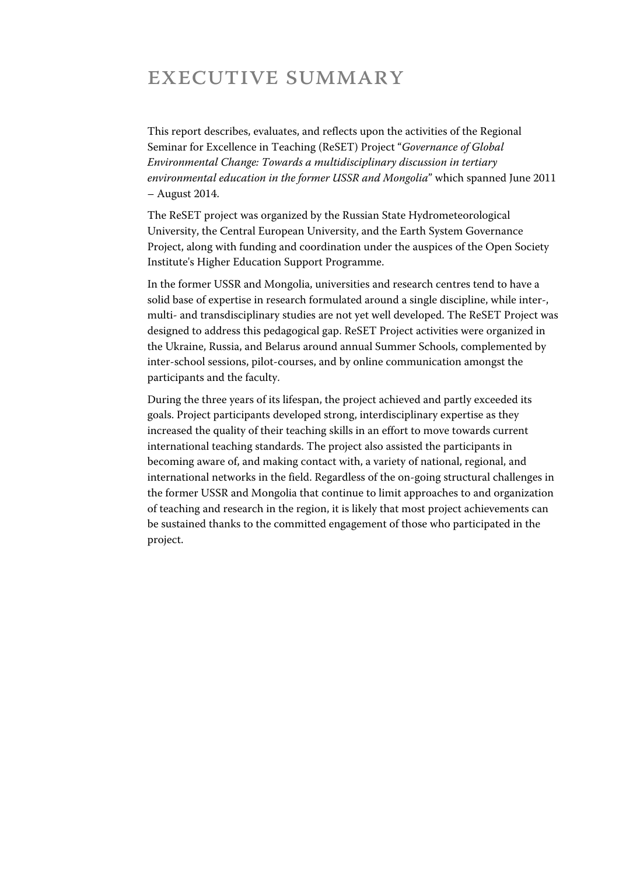## Executive Summary

This report describes, evaluates, and reflects upon the activities of the Regional Seminar for Excellence in Teaching (ReSET) Project "*Governance of Global Environmental Change: Towards a multidisciplinary discussion in tertiary environmental education in the former USSR and Mongolia*" which spanned June 2011 – August 2014.

The ReSET project was organized by the Russian State Hydrometeorological University, the Central European University, and the Earth System Governance Project, along with funding and coordination under the auspices of the Open Society Institute's Higher Education Support Programme.

In the former USSR and Mongolia, universities and research centres tend to have a solid base of expertise in research formulated around a single discipline, while inter-, multi- and transdisciplinary studies are not yet well developed. The ReSET Project was designed to address this pedagogical gap. ReSET Project activities were organized in the Ukraine, Russia, and Belarus around annual Summer Schools, complemented by inter-school sessions, pilot-courses, and by online communication amongst the participants and the faculty.

During the three years of its lifespan, the project achieved and partly exceeded its goals. Project participants developed strong, interdisciplinary expertise as they increased the quality of their teaching skills in an effort to move towards current international teaching standards. The project also assisted the participants in becoming aware of, and making contact with, a variety of national, regional, and international networks in the field. Regardless of the on-going structural challenges in the former USSR and Mongolia that continue to limit approaches to and organization of teaching and research in the region, it is likely that most project achievements can be sustained thanks to the committed engagement of those who participated in the project.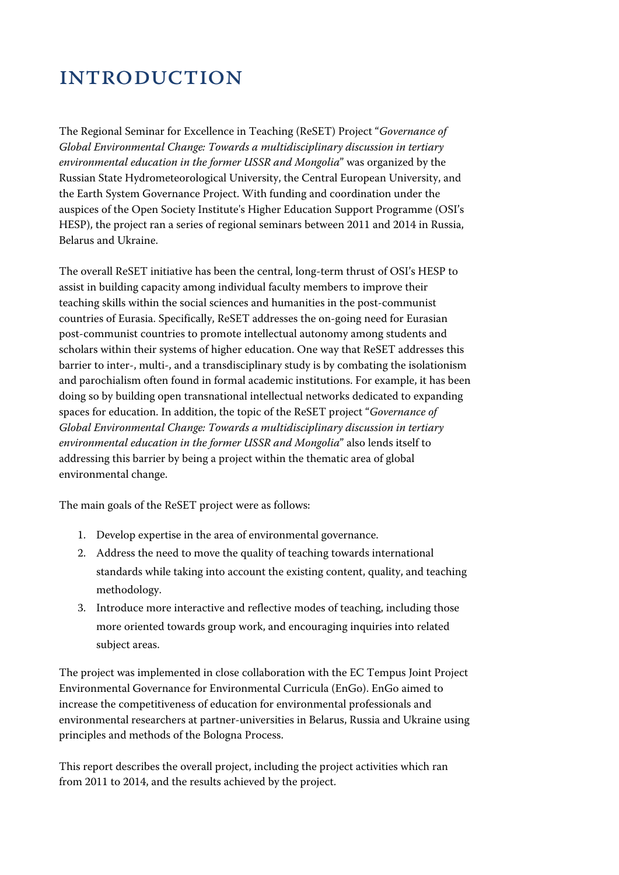# **INTRODUCTION**

The Regional Seminar for Excellence in Teaching (ReSET) Project "*Governance of Global Environmental Change: Towards a multidisciplinary discussion in tertiary environmental education in the former USSR and Mongolia*" was organized by the Russian State Hydrometeorological University, the Central European University, and the Earth System Governance Project. With funding and coordination under the auspices of the Open Society Institute's Higher Education Support Programme (OSI's HESP), the project ran a series of regional seminars between 2011 and 2014 in Russia, Belarus and Ukraine.

The overall ReSET initiative has been the central, long-term thrust of OSI's HESP to assist in building capacity among individual faculty members to improve their teaching skills within the social sciences and humanities in the post-communist countries of Eurasia. Specifically, ReSET addresses the on-going need for Eurasian post-communist countries to promote intellectual autonomy among students and scholars within their systems of higher education. One way that ReSET addresses this barrier to inter-, multi-, and a transdisciplinary study is by combating the isolationism and parochialism often found in formal academic institutions. For example, it has been doing so by building open transnational intellectual networks dedicated to expanding spaces for education. In addition, the topic of the ReSET project "*Governance of Global Environmental Change: Towards a multidisciplinary discussion in tertiary environmental education in the former USSR and Mongolia*" also lends itself to addressing this barrier by being a project within the thematic area of global environmental change.

The main goals of the ReSET project were as follows:

- 1. Develop expertise in the area of environmental governance.
- 2. Address the need to move the quality of teaching towards international standards while taking into account the existing content, quality, and teaching methodology.
- 3. Introduce more interactive and reflective modes of teaching, including those more oriented towards group work, and encouraging inquiries into related subject areas.

The project was implemented in close collaboration with the EC Tempus Joint Project Environmental Governance for Environmental Curricula (EnGo). EnGo aimed to increase the competitiveness of education for environmental professionals and environmental researchers at partner-universities in Belarus, Russia and Ukraine using principles and methods of the Bologna Process.

This report describes the overall project, including the project activities which ran from 2011 to 2014, and the results achieved by the project.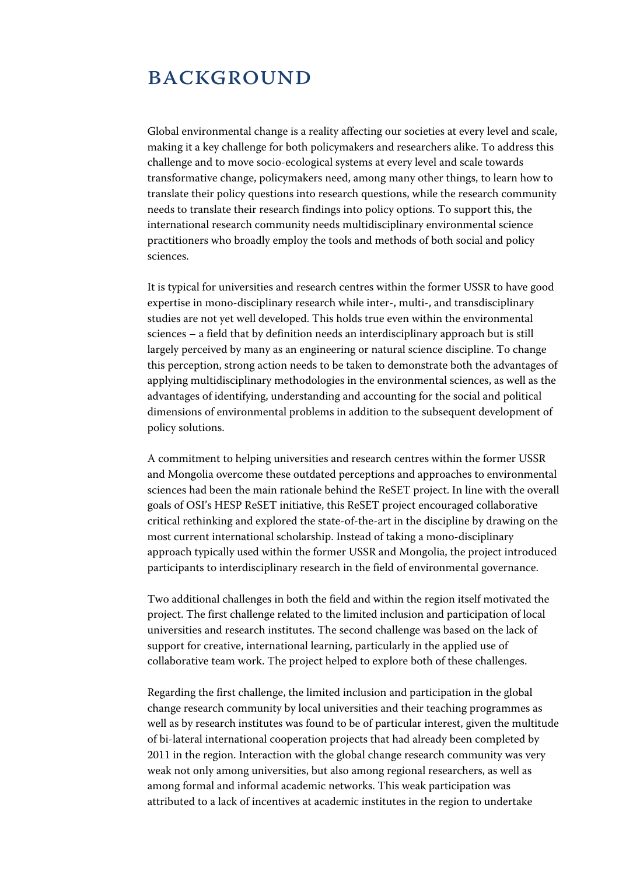## **BACKGROUND**

Global environmental change is a reality affecting our societies at every level and scale, making it a key challenge for both policymakers and researchers alike. To address this challenge and to move socio-ecological systems at every level and scale towards transformative change, policymakers need, among many other things, to learn how to translate their policy questions into research questions, while the research community needs to translate their research findings into policy options. To support this, the international research community needs multidisciplinary environmental science practitioners who broadly employ the tools and methods of both social and policy sciences.

It is typical for universities and research centres within the former USSR to have good expertise in mono-disciplinary research while inter-, multi-, and transdisciplinary studies are not yet well developed. This holds true even within the environmental sciences – a field that by definition needs an interdisciplinary approach but is still largely perceived by many as an engineering or natural science discipline. To change this perception, strong action needs to be taken to demonstrate both the advantages of applying multidisciplinary methodologies in the environmental sciences, as well as the advantages of identifying, understanding and accounting for the social and political dimensions of environmental problems in addition to the subsequent development of policy solutions.

A commitment to helping universities and research centres within the former USSR and Mongolia overcome these outdated perceptions and approaches to environmental sciences had been the main rationale behind the ReSET project. In line with the overall goals of OSI's HESP ReSET initiative, this ReSET project encouraged collaborative critical rethinking and explored the state-of-the-art in the discipline by drawing on the most current international scholarship. Instead of taking a mono-disciplinary approach typically used within the former USSR and Mongolia, the project introduced participants to interdisciplinary research in the field of environmental governance.

Two additional challenges in both the field and within the region itself motivated the project. The first challenge related to the limited inclusion and participation of local universities and research institutes. The second challenge was based on the lack of support for creative, international learning, particularly in the applied use of collaborative team work. The project helped to explore both of these challenges.

Regarding the first challenge, the limited inclusion and participation in the global change research community by local universities and their teaching programmes as well as by research institutes was found to be of particular interest, given the multitude of bi-lateral international cooperation projects that had already been completed by 2011 in the region. Interaction with the global change research community was very weak not only among universities, but also among regional researchers, as well as among formal and informal academic networks. This weak participation was attributed to a lack of incentives at academic institutes in the region to undertake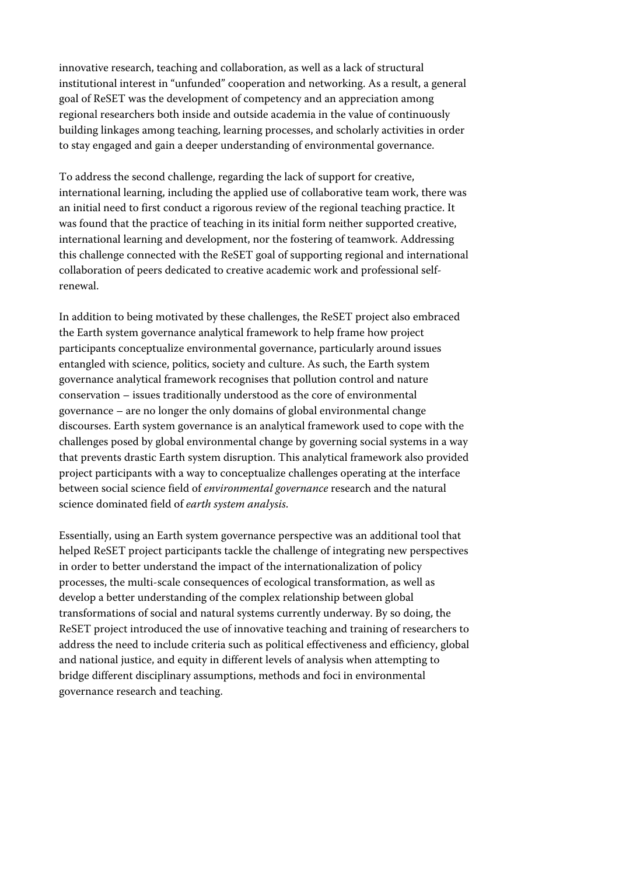innovative research, teaching and collaboration, as well as a lack of structural institutional interest in "unfunded" cooperation and networking. As a result, a general goal of ReSET was the development of competency and an appreciation among regional researchers both inside and outside academia in the value of continuously building linkages among teaching, learning processes, and scholarly activities in order to stay engaged and gain a deeper understanding of environmental governance.

To address the second challenge, regarding the lack of support for creative, international learning, including the applied use of collaborative team work, there was an initial need to first conduct a rigorous review of the regional teaching practice. It was found that the practice of teaching in its initial form neither supported creative, international learning and development, nor the fostering of teamwork. Addressing this challenge connected with the ReSET goal of supporting regional and international collaboration of peers dedicated to creative academic work and professional selfrenewal.

In addition to being motivated by these challenges, the ReSET project also embraced the Earth system governance analytical framework to help frame how project participants conceptualize environmental governance, particularly around issues entangled with science, politics, society and culture. As such, the Earth system governance analytical framework recognises that pollution control and nature conservation – issues traditionally understood as the core of environmental governance – are no longer the only domains of global environmental change discourses. Earth system governance is an analytical framework used to cope with the challenges posed by global environmental change by governing social systems in a way that prevents drastic Earth system disruption. This analytical framework also provided project participants with a way to conceptualize challenges operating at the interface between social science field of *environmental governance* research and the natural science dominated field of *earth system analysis*.

Essentially, using an Earth system governance perspective was an additional tool that helped ReSET project participants tackle the challenge of integrating new perspectives in order to better understand the impact of the internationalization of policy processes, the multi-scale consequences of ecological transformation, as well as develop a better understanding of the complex relationship between global transformations of social and natural systems currently underway. By so doing, the ReSET project introduced the use of innovative teaching and training of researchers to address the need to include criteria such as political effectiveness and efficiency, global and national justice, and equity in different levels of analysis when attempting to bridge different disciplinary assumptions, methods and foci in environmental governance research and teaching.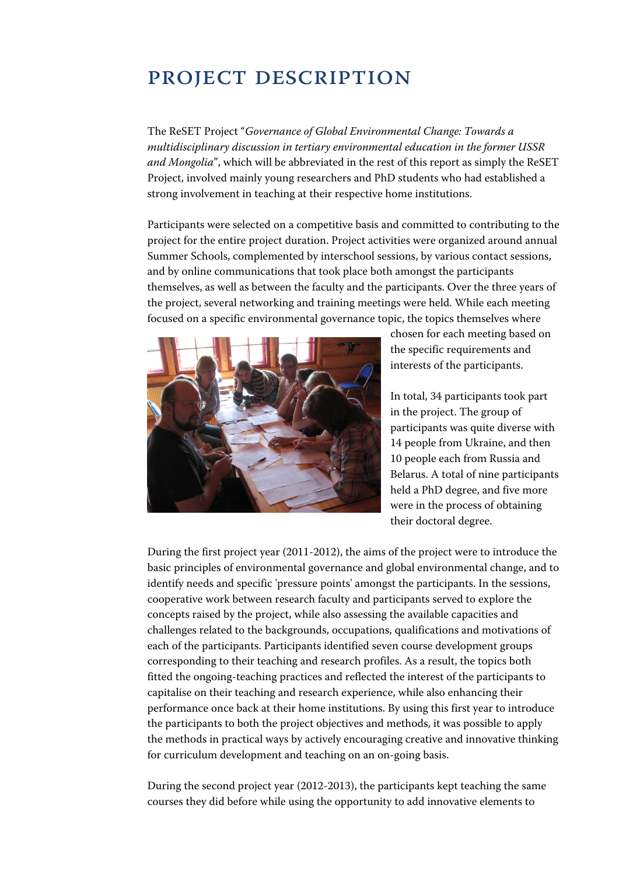## PROJECT DESCRIPTION

The ReSET Project "*Governance of Global Environmental Change: Towards a multidisciplinary discussion in tertiary environmental education in the former USSR and Mongolia*", which will be abbreviated in the rest of this report as simply the ReSET Project, involved mainly young researchers and PhD students who had established a strong involvement in teaching at their respective home institutions.

Participants were selected on a competitive basis and committed to contributing to the project for the entire project duration. Project activities were organized around annual Summer Schools, complemented by interschool sessions, by various contact sessions, and by online communications that took place both amongst the participants themselves, as well as between the faculty and the participants. Over the three years of the project, several networking and training meetings were held. While each meeting focused on a specific environmental governance topic, the topics themselves where



chosen for each meeting based on the specific requirements and interests of the participants.

In total, 34 participants took part in the project. The group of participants was quite diverse with 14 people from Ukraine, and then 10 people each from Russia and Belarus. A total of nine participants held a PhD degree, and five more were in the process of obtaining their doctoral degree.

During the first project year (2011-2012), the aims of the project were to introduce the basic principles of environmental governance and global environmental change, and to identify needs and specific 'pressure points' amongst the participants. In the sessions, cooperative work between research faculty and participants served to explore the concepts raised by the project, while also assessing the available capacities and challenges related to the backgrounds, occupations, qualifications and motivations of each of the participants. Participants identified seven course development groups corresponding to their teaching and research profiles. As a result, the topics both fitted the ongoing-teaching practices and reflected the interest of the participants to capitalise on their teaching and research experience, while also enhancing their performance once back at their home institutions. By using this first year to introduce the participants to both the project objectives and methods, it was possible to apply the methods in practical ways by actively encouraging creative and innovative thinking for curriculum development and teaching on an on-going basis.

During the second project year (2012-2013), the participants kept teaching the same courses they did before while using the opportunity to add innovative elements to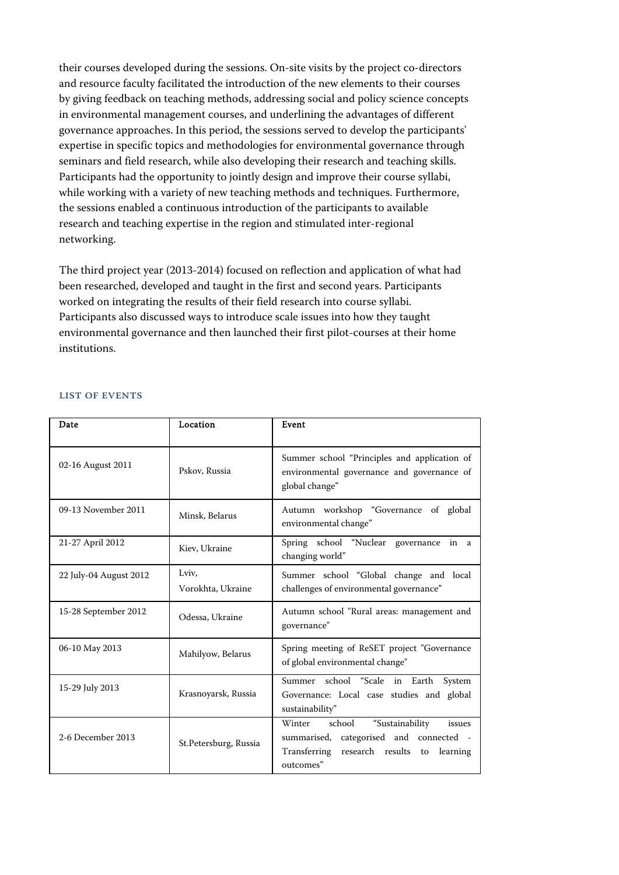their courses developed during the sessions. On-site visits by the project co-directors and resource faculty facilitated the introduction of the new elements to their courses by giving feedback on teaching methods, addressing social and policy science concepts in environmental management courses, and underlining the advantages of different governance approaches. In this period, the sessions served to develop the participants' expertise in specific topics and methodologies for environmental governance through seminars and field research, while also developing their research and teaching skills. Participants had the opportunity to jointly design and improve their course syllabi, while working with a variety of new teaching methods and techniques. Furthermore, the sessions enabled a continuous introduction of the participants to available research and teaching expertise in the region and stimulated inter-regional networking.

The third project year (2013-2014) focused on reflection and application of what had been researched, developed and taught in the first and second years. Participants worked on integrating the results of their field research into course syllabi. Participants also discussed ways to introduce scale issues into how they taught environmental governance and then launched their first pilot-courses at their home institutions.

| Date                   | Location                   | Event                                                                                                                                                    |
|------------------------|----------------------------|----------------------------------------------------------------------------------------------------------------------------------------------------------|
| 02-16 August 2011      | Pskov, Russia              | Summer school "Principles and application of<br>environmental governance and governance of<br>global change"                                             |
| 09-13 November 2011    | Minsk, Belarus             | Autumn workshop "Governance of global<br>environmental change"                                                                                           |
| 21-27 April 2012       | Kiev, Ukraine              | Spring school "Nuclear governance in a<br>changing world"                                                                                                |
| 22 July-04 August 2012 | Lviv,<br>Vorokhta, Ukraine | Summer school "Global change and local<br>challenges of environmental governance"                                                                        |
| 15-28 September 2012   | Odessa, Ukraine            | Autumn school "Rural areas: management and<br>governance"                                                                                                |
| 06-10 May 2013         | Mahilyow, Belarus          | Spring meeting of ReSET project "Governance"<br>of global environmental change"                                                                          |
| 15-29 July 2013        | Krasnoyarsk, Russia        | Summer school "Scale in Earth<br>System<br>Governance: Local case studies and global<br>sustainability"                                                  |
| 2-6 December 2013      | St.Petersburg, Russia      | school<br>Winter<br>"Sustainability<br>issues<br>categorised and connected -<br>summarised,<br>Transferring research results to<br>learning<br>outcomes" |

#### List of events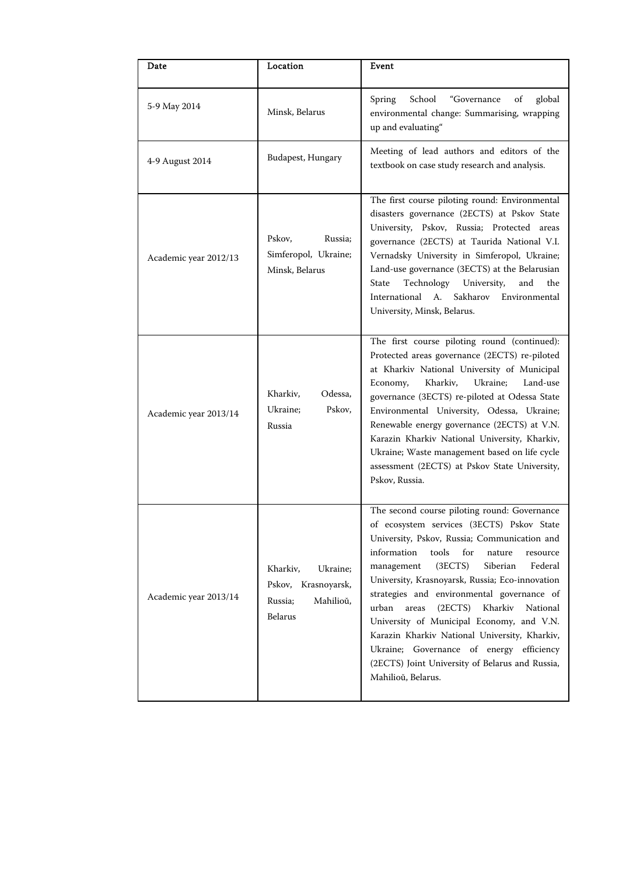| Date                  | Location                                                                              | Event                                                                                                                                                                                                                                                                                                                                                                                                                                                                                                                                                                                                                  |
|-----------------------|---------------------------------------------------------------------------------------|------------------------------------------------------------------------------------------------------------------------------------------------------------------------------------------------------------------------------------------------------------------------------------------------------------------------------------------------------------------------------------------------------------------------------------------------------------------------------------------------------------------------------------------------------------------------------------------------------------------------|
| 5-9 May 2014          | Minsk, Belarus                                                                        | School<br>Spring<br>"Governance<br>of<br>global<br>environmental change: Summarising, wrapping<br>up and evaluating"                                                                                                                                                                                                                                                                                                                                                                                                                                                                                                   |
| 4-9 August 2014       | Budapest, Hungary                                                                     | Meeting of lead authors and editors of the<br>textbook on case study research and analysis.                                                                                                                                                                                                                                                                                                                                                                                                                                                                                                                            |
| Academic year 2012/13 | Pskov,<br>Russia;<br>Simferopol, Ukraine;<br>Minsk, Belarus                           | The first course piloting round: Environmental<br>disasters governance (2ECTS) at Pskov State<br>University, Pskov, Russia; Protected areas<br>governance (2ECTS) at Taurida National V.I.<br>Vernadsky University in Simferopol, Ukraine;<br>Land-use governance (3ECTS) at the Belarusian<br>Technology<br><b>State</b><br>University,<br>and<br>the<br>International A.<br>Sakharov<br>Environmental<br>University, Minsk, Belarus.                                                                                                                                                                                 |
| Academic year 2013/14 | Kharkiv,<br>Odessa,<br>Ukraine;<br>Pskov,<br>Russia                                   | The first course piloting round (continued):<br>Protected areas governance (2ECTS) re-piloted<br>at Kharkiv National University of Municipal<br>Kharkiv,<br>Ukraine;<br>Land-use<br>Economy,<br>governance (3ECTS) re-piloted at Odessa State<br>Environmental University, Odessa, Ukraine;<br>Renewable energy governance (2ECTS) at V.N.<br>Karazin Kharkiv National University, Kharkiv,<br>Ukraine; Waste management based on life cycle<br>assessment (2ECTS) at Pskov State University,<br>Pskov, Russia.                                                                                                        |
| Academic year 2013/14 | Kharkiv,<br>Ukraine;<br>Pskov, Krasnoyarsk,<br>Mahilioŭ,<br>Russia;<br><b>Belarus</b> | The second course piloting round: Governance<br>of ecosystem services (3ECTS) Pskov State<br>University, Pskov, Russia; Communication and<br>information<br>tools<br>for<br>nature<br>resource<br>(3ECTS)<br>Siberian<br>Federal<br>management<br>University, Krasnoyarsk, Russia; Eco-innovation<br>strategies and environmental governance of<br>urban<br>(2ECTS)<br>Kharkiv<br>areas<br>National<br>University of Municipal Economy, and V.N.<br>Karazin Kharkiv National University, Kharkiv,<br>Ukraine; Governance of energy efficiency<br>(2ECTS) Joint University of Belarus and Russia,<br>Mahilioŭ, Belarus. |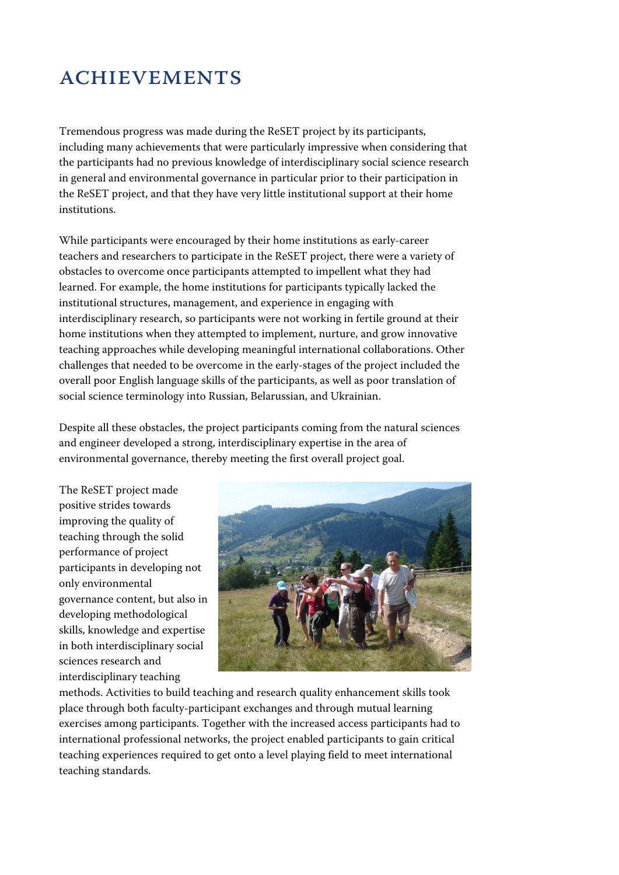# **ACHIEVEMENTS**

Tremendous progress was made during the ReSET project by its participants, including many achievements that were particularly impressive when considering that the participants had no previous knowledge of interdisciplinary social science research in general and environmental governance in particular prior to their participation in the ReSET project, and that they have very little institutional support at their home institutions.

While participants were encouraged by their home institutions as early-career teachers and researchers to participate in the ReSET project, there were a variety of obstacles to overcome once participants attempted to impellent what they had learned. For example, the home institutions for participants typically lacked the institutional structures, management, and experience in engaging with interdisciplinary research, so participants were not working in fertile ground at their home institutions when they attempted to implement, nurture, and grow innovative teaching approaches while developing meaningful international collaborations. Other challenges that needed to be overcome in the early-stages of the project included the overall poor English language skills of the participants, as well as poor translation of social science terminology into Russian, Belarussian, and Ukrainian.

Despite all these obstacles, the project participants coming from the natural sciences and engineer developed a strong, interdisciplinary expertise in the area of environmental governance, thereby meeting the first overall project goal.

The ReSET project made positive strides towards improving the quality of teaching through the solid performance of project participants in developing not only environmental governance content, but also in developing methodological skills, knowledge and expertise in both interdisciplinary social sciences research and interdisciplinary teaching



methods. Activities to build teaching and research quality enhancement skills took place through both faculty-participant exchanges and through mutual learning exercises among participants. Together with the increased access participants had to international professional networks, the project enabled participants to gain critical teaching experiences required to get onto a level playing field to meet international teaching standards.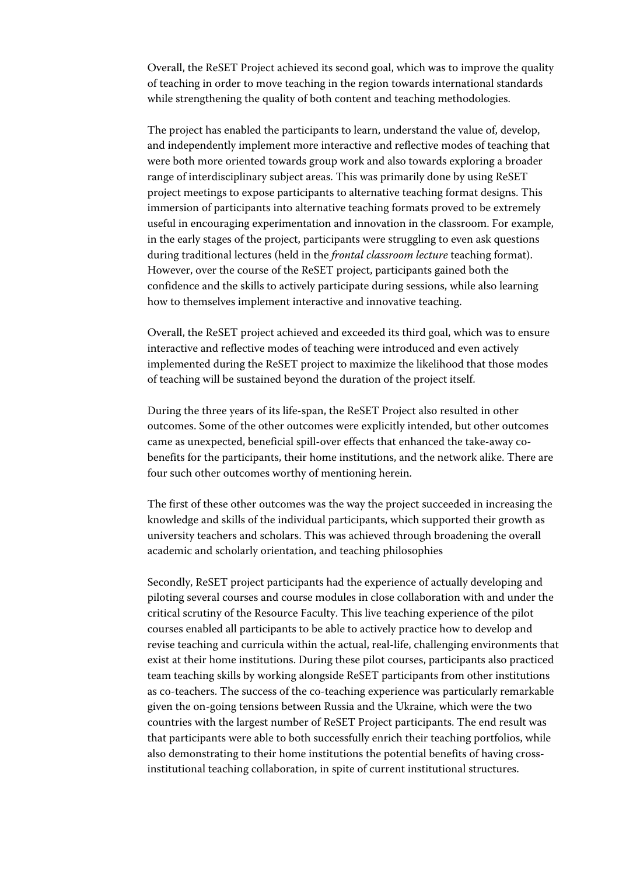Overall, the ReSET Project achieved its second goal, which was to improve the quality of teaching in order to move teaching in the region towards international standards while strengthening the quality of both content and teaching methodologies.

The project has enabled the participants to learn, understand the value of, develop, and independently implement more interactive and reflective modes of teaching that were both more oriented towards group work and also towards exploring a broader range of interdisciplinary subject areas. This was primarily done by using ReSET project meetings to expose participants to alternative teaching format designs. This immersion of participants into alternative teaching formats proved to be extremely useful in encouraging experimentation and innovation in the classroom. For example, in the early stages of the project, participants were struggling to even ask questions during traditional lectures (held in the *frontal classroom lecture* teaching format). However, over the course of the ReSET project, participants gained both the confidence and the skills to actively participate during sessions, while also learning how to themselves implement interactive and innovative teaching.

Overall, the ReSET project achieved and exceeded its third goal, which was to ensure interactive and reflective modes of teaching were introduced and even actively implemented during the ReSET project to maximize the likelihood that those modes of teaching will be sustained beyond the duration of the project itself.

During the three years of its life-span, the ReSET Project also resulted in other outcomes. Some of the other outcomes were explicitly intended, but other outcomes came as unexpected, beneficial spill-over effects that enhanced the take-away cobenefits for the participants, their home institutions, and the network alike. There are four such other outcomes worthy of mentioning herein.

The first of these other outcomes was the way the project succeeded in increasing the knowledge and skills of the individual participants, which supported their growth as university teachers and scholars. This was achieved through broadening the overall academic and scholarly orientation, and teaching philosophies

Secondly, ReSET project participants had the experience of actually developing and piloting several courses and course modules in close collaboration with and under the critical scrutiny of the Resource Faculty. This live teaching experience of the pilot courses enabled all participants to be able to actively practice how to develop and revise teaching and curricula within the actual, real-life, challenging environments that exist at their home institutions. During these pilot courses, participants also practiced team teaching skills by working alongside ReSET participants from other institutions as co-teachers. The success of the co-teaching experience was particularly remarkable given the on-going tensions between Russia and the Ukraine, which were the two countries with the largest number of ReSET Project participants. The end result was that participants were able to both successfully enrich their teaching portfolios, while also demonstrating to their home institutions the potential benefits of having crossinstitutional teaching collaboration, in spite of current institutional structures.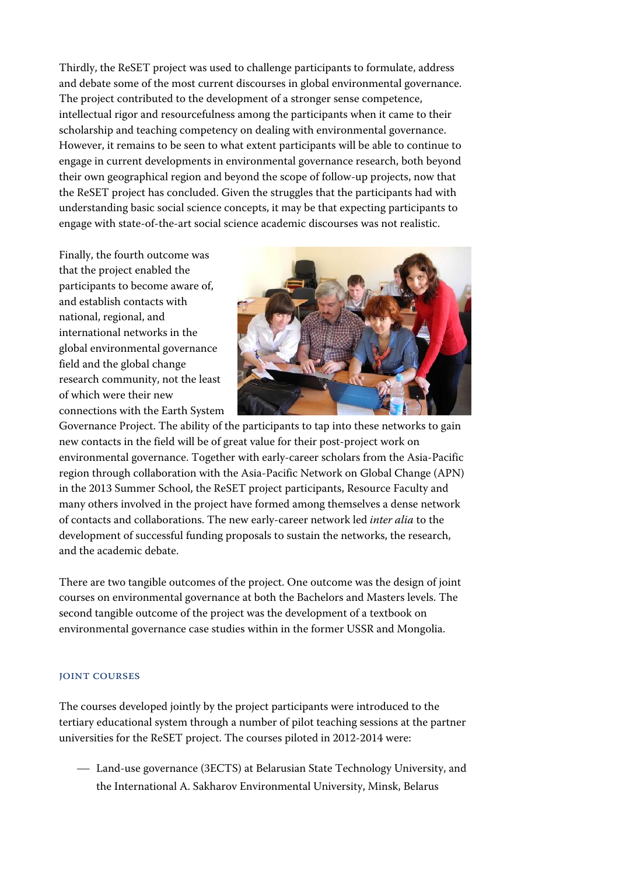Thirdly, the ReSET project was used to challenge participants to formulate, address and debate some of the most current discourses in global environmental governance. The project contributed to the development of a stronger sense competence, intellectual rigor and resourcefulness among the participants when it came to their scholarship and teaching competency on dealing with environmental governance. However, it remains to be seen to what extent participants will be able to continue to engage in current developments in environmental governance research, both beyond their own geographical region and beyond the scope of follow-up projects, now that the ReSET project has concluded. Given the struggles that the participants had with understanding basic social science concepts, it may be that expecting participants to engage with state-of-the-art social science academic discourses was not realistic.

Finally, the fourth outcome was that the project enabled the participants to become aware of, and establish contacts with national, regional, and international networks in the global environmental governance field and the global change research community, not the least of which were their new connections with the Earth System



Governance Project. The ability of the participants to tap into these networks to gain new contacts in the field will be of great value for their post-project work on environmental governance. Together with early-career scholars from the Asia-Pacific region through collaboration with the Asia-Pacific Network on Global Change (APN) in the 2013 Summer School, the ReSET project participants, Resource Faculty and many others involved in the project have formed among themselves a dense network of contacts and collaborations. The new early-career network led *inter alia* to the development of successful funding proposals to sustain the networks, the research, and the academic debate.

There are two tangible outcomes of the project. One outcome was the design of joint courses on environmental governance at both the Bachelors and Masters levels. The second tangible outcome of the project was the development of a textbook on environmental governance case studies within in the former USSR and Mongolia.

#### Joint courses

The courses developed jointly by the project participants were introduced to the tertiary educational system through a number of pilot teaching sessions at the partner universities for the ReSET project. The courses piloted in 2012-2014 were:

 Land-use governance (3ECTS) at Belarusian State Technology University, and the International A. Sakharov Environmental University, Minsk, Belarus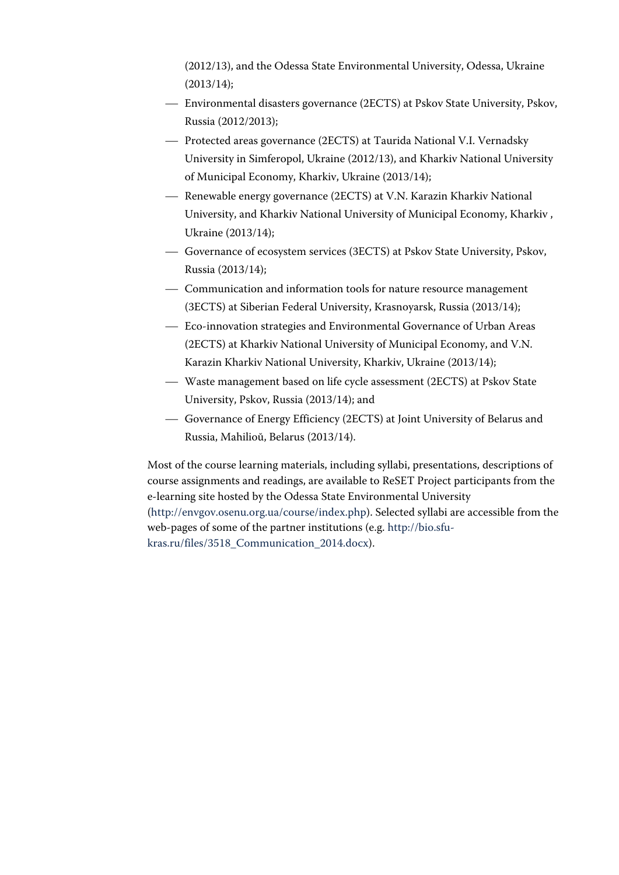(2012/13), and the Odessa State Environmental University, Odessa, Ukraine (2013/14);

- Environmental disasters governance (2ECTS) at Pskov State University, Pskov, Russia (2012/2013);
- Protected areas governance (2ECTS) at Taurida National V.I. Vernadsky University in Simferopol, Ukraine (2012/13), and Kharkiv National University of Municipal Economy, Kharkiv, Ukraine (2013/14);
- Renewable energy governance (2ECTS) at V.N. Karazin Kharkiv National University, and Kharkiv National University of Municipal Economy, Kharkiv , Ukraine (2013/14);
- Governance of ecosystem services (3ECTS) at Pskov State University, Pskov, Russia (2013/14);
- Communication and information tools for nature resource management (3ECTS) at Siberian Federal University, Krasnoyarsk, Russia (2013/14);
- Eco-innovation strategies and Environmental Governance of Urban Areas (2ECTS) at Kharkiv National University of Municipal Economy, and V.N. Karazin Kharkiv National University, Kharkiv, Ukraine (2013/14);
- Waste management based on life cycle assessment (2ECTS) at Pskov State University, Pskov, Russia (2013/14); and
- Governance of Energy Efficiency (2ECTS) at Joint University of Belarus and Russia, Mahilioŭ, Belarus (2013/14).

Most of the course learning materials, including syllabi, presentations, descriptions of course assignments and readings, are available to ReSET Project participants from the e-learning site hosted by the Odessa State Environmental University (http://envgov.osenu.org.ua/course/index.php). Selected syllabi are accessible from the web-pages of some of the partner institutions (e.g. http://bio.sfukras.ru/files/3518\_Communication\_2014.docx).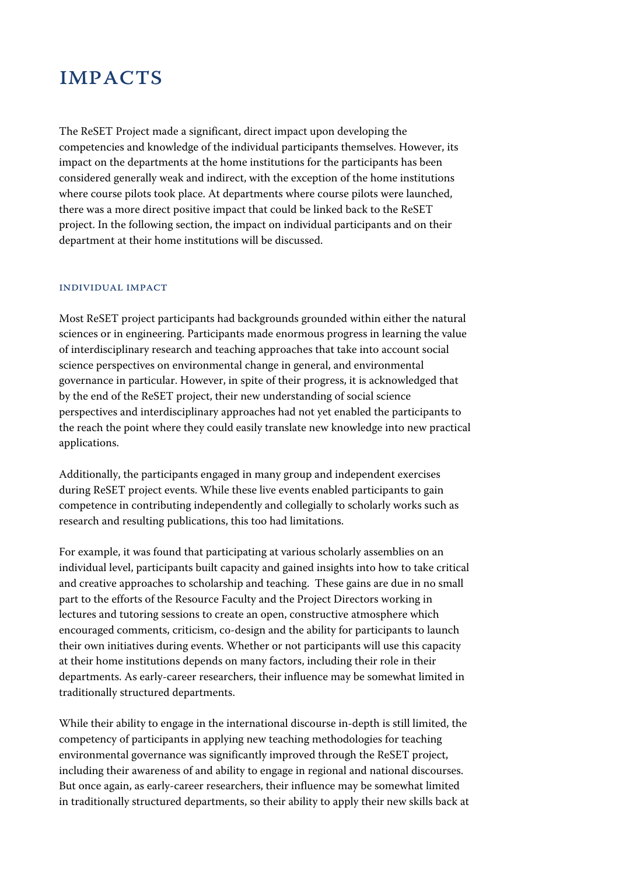## **IMPACTS**

The ReSET Project made a significant, direct impact upon developing the competencies and knowledge of the individual participants themselves. However, its impact on the departments at the home institutions for the participants has been considered generally weak and indirect, with the exception of the home institutions where course pilots took place. At departments where course pilots were launched, there was a more direct positive impact that could be linked back to the ReSET project. In the following section, the impact on individual participants and on their department at their home institutions will be discussed.

#### Individual Impact

Most ReSET project participants had backgrounds grounded within either the natural sciences or in engineering. Participants made enormous progress in learning the value of interdisciplinary research and teaching approaches that take into account social science perspectives on environmental change in general, and environmental governance in particular. However, in spite of their progress, it is acknowledged that by the end of the ReSET project, their new understanding of social science perspectives and interdisciplinary approaches had not yet enabled the participants to the reach the point where they could easily translate new knowledge into new practical applications.

Additionally, the participants engaged in many group and independent exercises during ReSET project events. While these live events enabled participants to gain competence in contributing independently and collegially to scholarly works such as research and resulting publications, this too had limitations.

For example, it was found that participating at various scholarly assemblies on an individual level, participants built capacity and gained insights into how to take critical and creative approaches to scholarship and teaching. These gains are due in no small part to the efforts of the Resource Faculty and the Project Directors working in lectures and tutoring sessions to create an open, constructive atmosphere which encouraged comments, criticism, co-design and the ability for participants to launch their own initiatives during events. Whether or not participants will use this capacity at their home institutions depends on many factors, including their role in their departments. As early-career researchers, their influence may be somewhat limited in traditionally structured departments.

While their ability to engage in the international discourse in-depth is still limited, the competency of participants in applying new teaching methodologies for teaching environmental governance was significantly improved through the ReSET project, including their awareness of and ability to engage in regional and national discourses. But once again, as early-career researchers, their influence may be somewhat limited in traditionally structured departments, so their ability to apply their new skills back at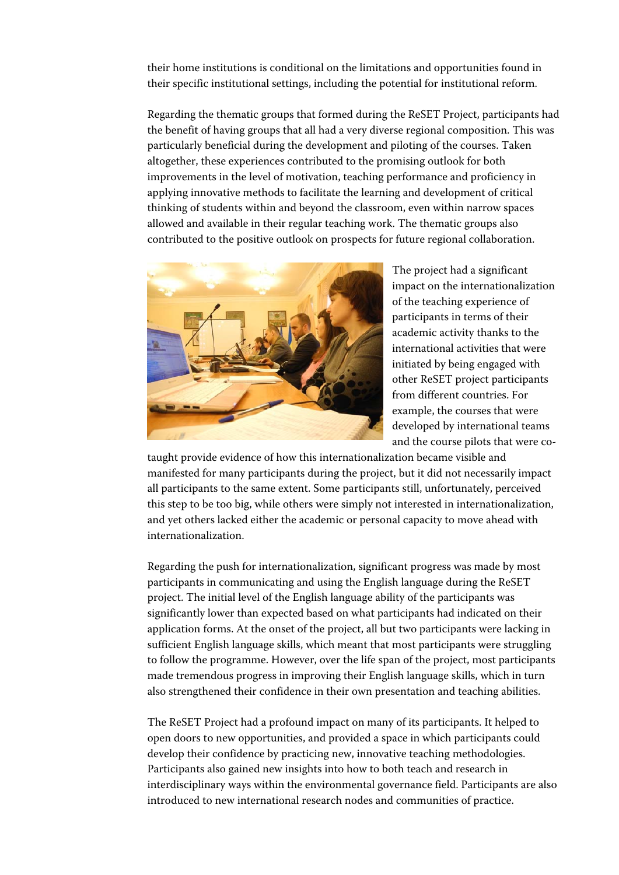their home institutions is conditional on the limitations and opportunities found in their specific institutional settings, including the potential for institutional reform.

Regarding the thematic groups that formed during the ReSET Project, participants had the benefit of having groups that all had a very diverse regional composition. This was particularly beneficial during the development and piloting of the courses. Taken altogether, these experiences contributed to the promising outlook for both improvements in the level of motivation, teaching performance and proficiency in applying innovative methods to facilitate the learning and development of critical thinking of students within and beyond the classroom, even within narrow spaces allowed and available in their regular teaching work. The thematic groups also contributed to the positive outlook on prospects for future regional collaboration.



The project had a significant impact on the internationalization of the teaching experience of participants in terms of their academic activity thanks to the international activities that were initiated by being engaged with other ReSET project participants from different countries. For example, the courses that were developed by international teams and the course pilots that were co-

taught provide evidence of how this internationalization became visible and manifested for many participants during the project, but it did not necessarily impact all participants to the same extent. Some participants still, unfortunately, perceived this step to be too big, while others were simply not interested in internationalization, and yet others lacked either the academic or personal capacity to move ahead with internationalization.

Regarding the push for internationalization, significant progress was made by most participants in communicating and using the English language during the ReSET project. The initial level of the English language ability of the participants was significantly lower than expected based on what participants had indicated on their application forms. At the onset of the project, all but two participants were lacking in sufficient English language skills, which meant that most participants were struggling to follow the programme. However, over the life span of the project, most participants made tremendous progress in improving their English language skills, which in turn also strengthened their confidence in their own presentation and teaching abilities.

The ReSET Project had a profound impact on many of its participants. It helped to open doors to new opportunities, and provided a space in which participants could develop their confidence by practicing new, innovative teaching methodologies. Participants also gained new insights into how to both teach and research in interdisciplinary ways within the environmental governance field. Participants are also introduced to new international research nodes and communities of practice.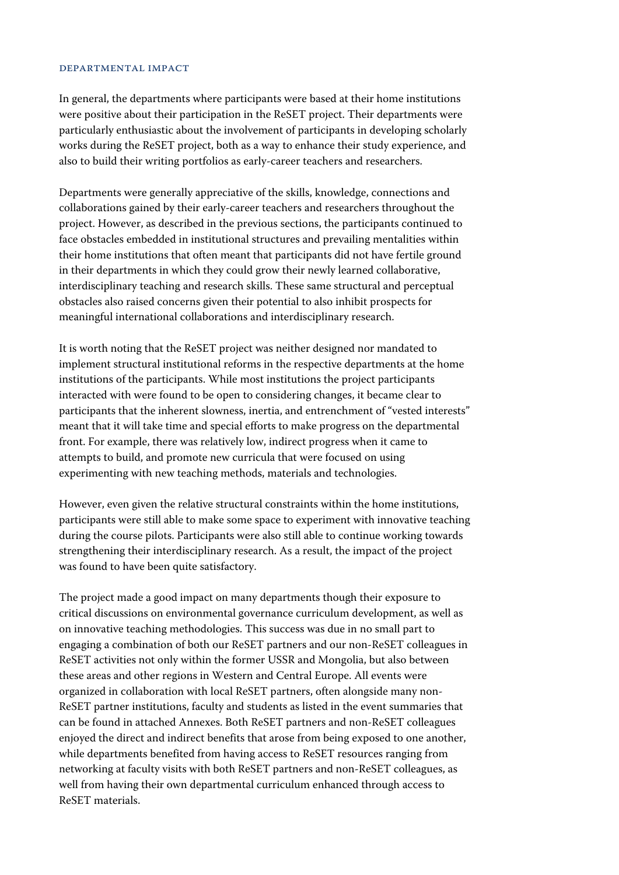#### Departmental Impact

In general, the departments where participants were based at their home institutions were positive about their participation in the ReSET project. Their departments were particularly enthusiastic about the involvement of participants in developing scholarly works during the ReSET project, both as a way to enhance their study experience, and also to build their writing portfolios as early-career teachers and researchers.

Departments were generally appreciative of the skills, knowledge, connections and collaborations gained by their early-career teachers and researchers throughout the project. However, as described in the previous sections, the participants continued to face obstacles embedded in institutional structures and prevailing mentalities within their home institutions that often meant that participants did not have fertile ground in their departments in which they could grow their newly learned collaborative, interdisciplinary teaching and research skills. These same structural and perceptual obstacles also raised concerns given their potential to also inhibit prospects for meaningful international collaborations and interdisciplinary research.

It is worth noting that the ReSET project was neither designed nor mandated to implement structural institutional reforms in the respective departments at the home institutions of the participants. While most institutions the project participants interacted with were found to be open to considering changes, it became clear to participants that the inherent slowness, inertia, and entrenchment of "vested interests" meant that it will take time and special efforts to make progress on the departmental front. For example, there was relatively low, indirect progress when it came to attempts to build, and promote new curricula that were focused on using experimenting with new teaching methods, materials and technologies.

However, even given the relative structural constraints within the home institutions, participants were still able to make some space to experiment with innovative teaching during the course pilots. Participants were also still able to continue working towards strengthening their interdisciplinary research. As a result, the impact of the project was found to have been quite satisfactory.

The project made a good impact on many departments though their exposure to critical discussions on environmental governance curriculum development, as well as on innovative teaching methodologies. This success was due in no small part to engaging a combination of both our ReSET partners and our non-ReSET colleagues in ReSET activities not only within the former USSR and Mongolia, but also between these areas and other regions in Western and Central Europe. All events were organized in collaboration with local ReSET partners, often alongside many non-ReSET partner institutions, faculty and students as listed in the event summaries that can be found in attached Annexes. Both ReSET partners and non-ReSET colleagues enjoyed the direct and indirect benefits that arose from being exposed to one another, while departments benefited from having access to ReSET resources ranging from networking at faculty visits with both ReSET partners and non-ReSET colleagues, as well from having their own departmental curriculum enhanced through access to ReSET materials.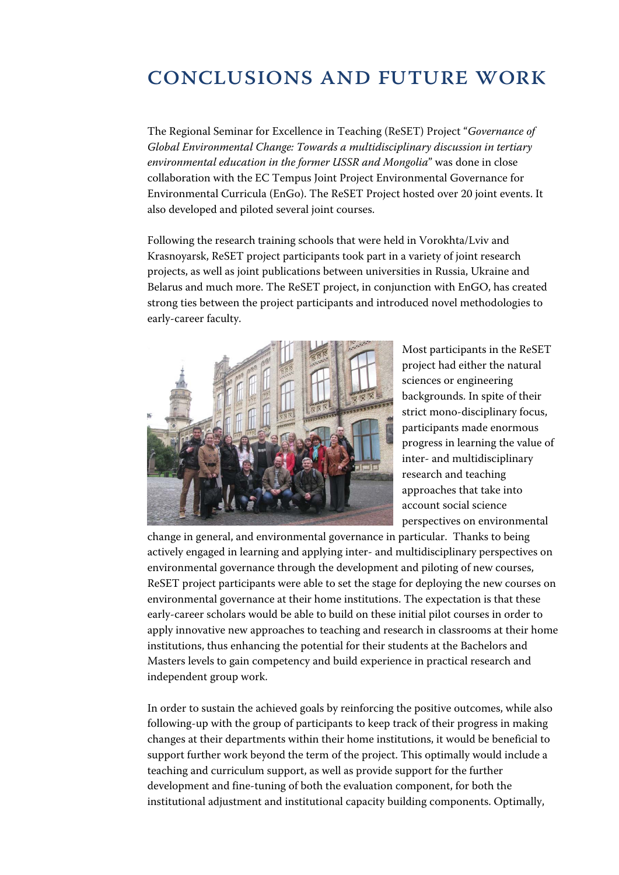# Conclusions and Future work

The Regional Seminar for Excellence in Teaching (ReSET) Project "*Governance of Global Environmental Change: Towards a multidisciplinary discussion in tertiary environmental education in the former USSR and Mongolia*" was done in close collaboration with the EC Tempus Joint Project Environmental Governance for Environmental Curricula (EnGo). The ReSET Project hosted over 20 joint events. It also developed and piloted several joint courses.

Following the research training schools that were held in Vorokhta/Lviv and Krasnoyarsk, ReSET project participants took part in a variety of joint research projects, as well as joint publications between universities in Russia, Ukraine and Belarus and much more. The ReSET project, in conjunction with EnGO, has created strong ties between the project participants and introduced novel methodologies to early-career faculty.



Most participants in the ReSET project had either the natural sciences or engineering backgrounds. In spite of their strict mono-disciplinary focus, participants made enormous progress in learning the value of inter- and multidisciplinary research and teaching approaches that take into account social science perspectives on environmental

change in general, and environmental governance in particular. Thanks to being actively engaged in learning and applying inter- and multidisciplinary perspectives on environmental governance through the development and piloting of new courses, ReSET project participants were able to set the stage for deploying the new courses on environmental governance at their home institutions. The expectation is that these early-career scholars would be able to build on these initial pilot courses in order to apply innovative new approaches to teaching and research in classrooms at their home institutions, thus enhancing the potential for their students at the Bachelors and Masters levels to gain competency and build experience in practical research and independent group work.

In order to sustain the achieved goals by reinforcing the positive outcomes, while also following-up with the group of participants to keep track of their progress in making changes at their departments within their home institutions, it would be beneficial to support further work beyond the term of the project. This optimally would include a teaching and curriculum support, as well as provide support for the further development and fine-tuning of both the evaluation component, for both the institutional adjustment and institutional capacity building components. Optimally,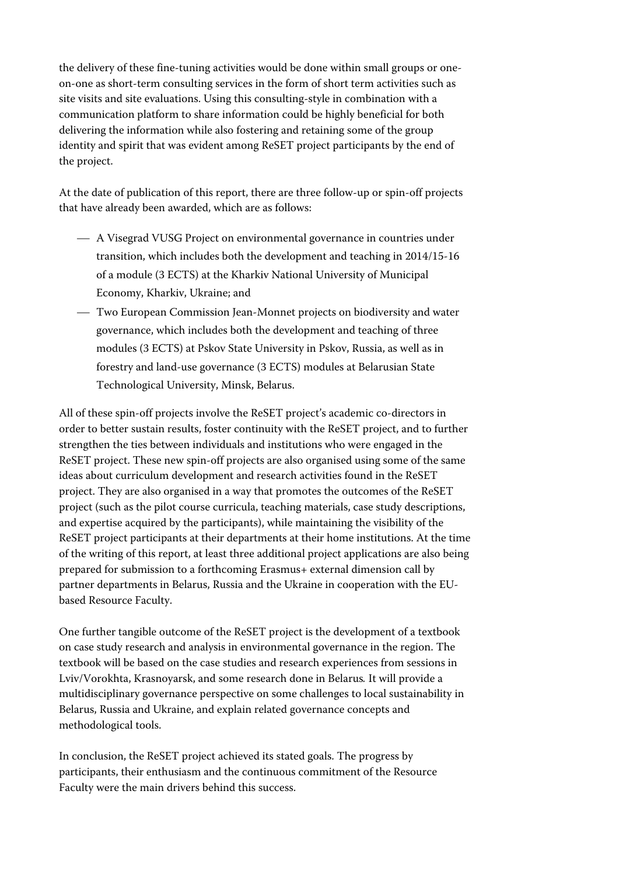the delivery of these fine-tuning activities would be done within small groups or oneon-one as short-term consulting services in the form of short term activities such as site visits and site evaluations. Using this consulting-style in combination with a communication platform to share information could be highly beneficial for both delivering the information while also fostering and retaining some of the group identity and spirit that was evident among ReSET project participants by the end of the project.

At the date of publication of this report, there are three follow-up or spin-off projects that have already been awarded, which are as follows:

- A Visegrad VUSG Project on environmental governance in countries under transition, which includes both the development and teaching in 2014/15-16 of a module (3 ECTS) at the Kharkiv National University of Municipal Economy, Kharkiv, Ukraine; and
- Two European Commission Jean-Monnet projects on biodiversity and water governance, which includes both the development and teaching of three modules (3 ECTS) at Pskov State University in Pskov, Russia, as well as in forestry and land-use governance (3 ECTS) modules at Belarusian State Technological University, Minsk, Belarus.

All of these spin-off projects involve the ReSET project's academic co-directors in order to better sustain results, foster continuity with the ReSET project, and to further strengthen the ties between individuals and institutions who were engaged in the ReSET project. These new spin-off projects are also organised using some of the same ideas about curriculum development and research activities found in the ReSET project. They are also organised in a way that promotes the outcomes of the ReSET project (such as the pilot course curricula, teaching materials, case study descriptions, and expertise acquired by the participants), while maintaining the visibility of the ReSET project participants at their departments at their home institutions. At the time of the writing of this report, at least three additional project applications are also being prepared for submission to a forthcoming Erasmus+ external dimension call by partner departments in Belarus, Russia and the Ukraine in cooperation with the EUbased Resource Faculty.

One further tangible outcome of the ReSET project is the development of a textbook on case study research and analysis in environmental governance in the region. The textbook will be based on the case studies and research experiences from sessions in Lviv/Vorokhta, Krasnoyarsk, and some research done in Belarus*.* It will provide a multidisciplinary governance perspective on some challenges to local sustainability in Belarus, Russia and Ukraine, and explain related governance concepts and methodological tools.

In conclusion, the ReSET project achieved its stated goals. The progress by participants, their enthusiasm and the continuous commitment of the Resource Faculty were the main drivers behind this success.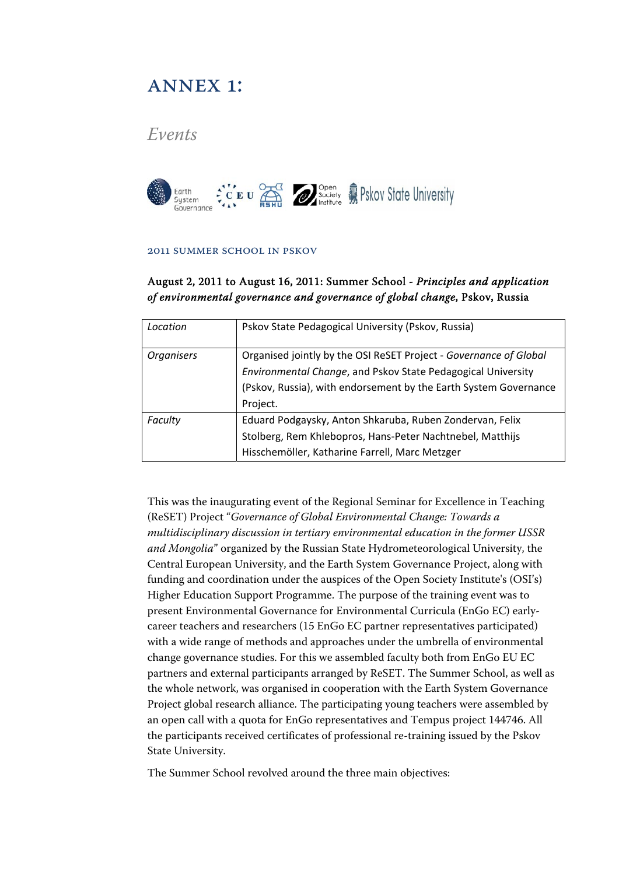## ANNEX 1:

## *Events*



#### 2011 Summer School in Pskov

### August 2, 2011 to August 16, 2011: Summer School *- Principles and application of environmental governance and governance of global change*, Pskov, Russia

| Location          | Pskov State Pedagogical University (Pskov, Russia)                |
|-------------------|-------------------------------------------------------------------|
| <b>Organisers</b> | Organised jointly by the OSI ReSET Project - Governance of Global |
|                   | Environmental Change, and Pskov State Pedagogical University      |
|                   | (Pskov, Russia), with endorsement by the Earth System Governance  |
|                   | Project.                                                          |
| Faculty           | Eduard Podgaysky, Anton Shkaruba, Ruben Zondervan, Felix          |
|                   | Stolberg, Rem Khlebopros, Hans-Peter Nachtnebel, Matthijs         |
|                   | Hisschemöller, Katharine Farrell, Marc Metzger                    |

This was the inaugurating event of the Regional Seminar for Excellence in Teaching (ReSET) Project "*Governance of Global Environmental Change: Towards a multidisciplinary discussion in tertiary environmental education in the former USSR and Mongolia*" organized by the Russian State Hydrometeorological University, the Central European University, and the Earth System Governance Project, along with funding and coordination under the auspices of the Open Society Institute's (OSI's) Higher Education Support Programme. The purpose of the training event was to present Environmental Governance for Environmental Curricula (EnGo EC) earlycareer teachers and researchers (15 EnGo EC partner representatives participated) with a wide range of methods and approaches under the umbrella of environmental change governance studies. For this we assembled faculty both from EnGo EU EC partners and external participants arranged by ReSET. The Summer School, as well as the whole network, was organised in cooperation with the Earth System Governance Project global research alliance. The participating young teachers were assembled by an open call with a quota for EnGo representatives and Tempus project 144746. All the participants received certificates of professional re-training issued by the Pskov State University.

The Summer School revolved around the three main objectives: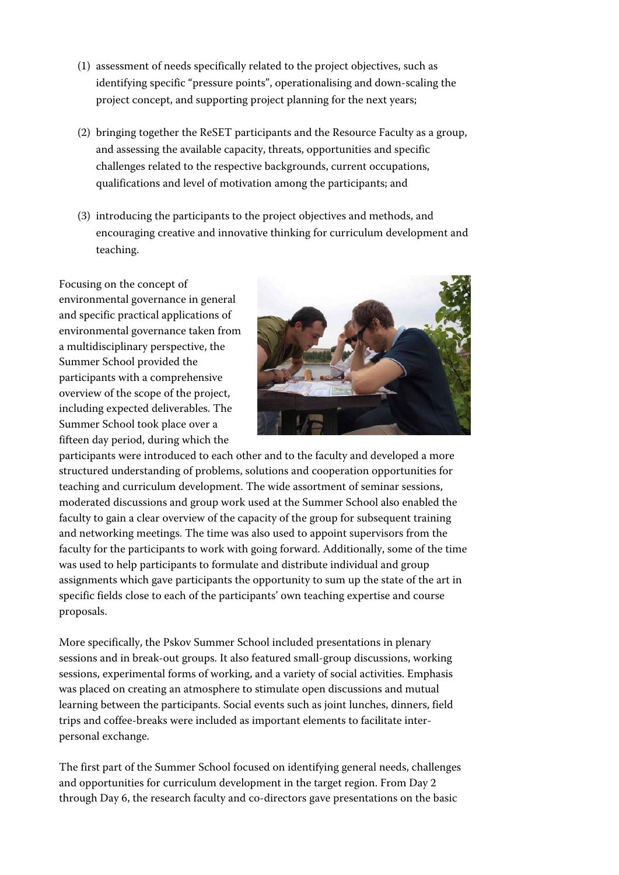- (1) assessment of needs specifically related to the project objectives, such as identifying specific "pressure points", operationalising and down-scaling the project concept, and supporting project planning for the next years;
- (2) bringing together the ReSET participants and the Resource Faculty as a group, and assessing the available capacity, threats, opportunities and specific challenges related to the respective backgrounds, current occupations, qualifications and level of motivation among the participants; and
- (3) introducing the participants to the project objectives and methods, and encouraging creative and innovative thinking for curriculum development and teaching.

Focusing on the concept of environmental governance in general and specific practical applications of environmental governance taken from a multidisciplinary perspective, the Summer School provided the participants with a comprehensive overview of the scope of the project, including expected deliverables. The Summer School took place over a fifteen day period, during which the



participants were introduced to each other and to the faculty and developed a more structured understanding of problems, solutions and cooperation opportunities for teaching and curriculum development. The wide assortment of seminar sessions, moderated discussions and group work used at the Summer School also enabled the faculty to gain a clear overview of the capacity of the group for subsequent training and networking meetings. The time was also used to appoint supervisors from the faculty for the participants to work with going forward. Additionally, some of the time was used to help participants to formulate and distribute individual and group assignments which gave participants the opportunity to sum up the state of the art in specific fields close to each of the participants' own teaching expertise and course proposals.

More specifically, the Pskov Summer School included presentations in plenary sessions and in break-out groups. It also featured small-group discussions, working sessions, experimental forms of working, and a variety of social activities. Emphasis was placed on creating an atmosphere to stimulate open discussions and mutual learning between the participants. Social events such as joint lunches, dinners, field trips and coffee-breaks were included as important elements to facilitate interpersonal exchange.

The first part of the Summer School focused on identifying general needs, challenges and opportunities for curriculum development in the target region. From Day 2 through Day 6, the research faculty and co-directors gave presentations on the basic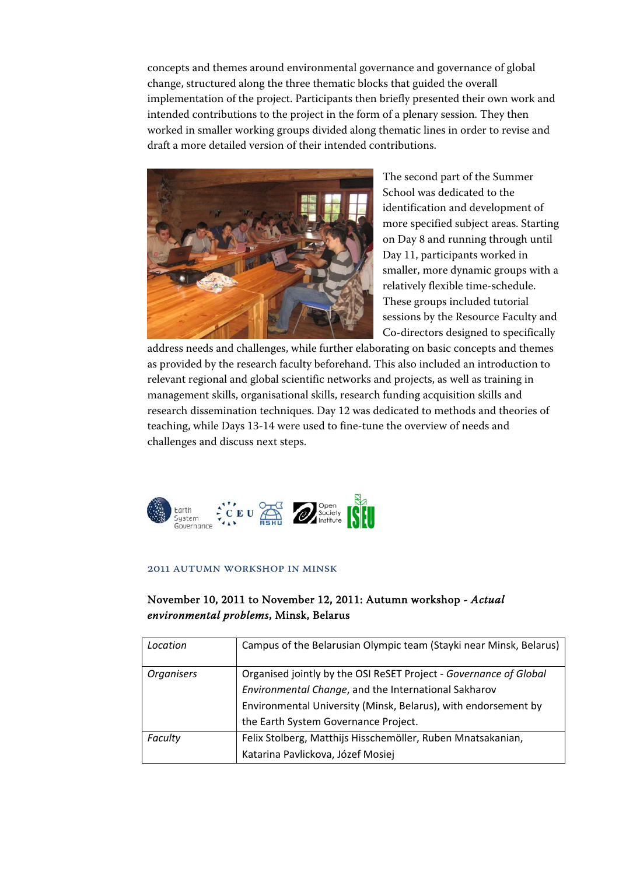concepts and themes around environmental governance and governance of global change, structured along the three thematic blocks that guided the overall implementation of the project. Participants then briefly presented their own work and intended contributions to the project in the form of a plenary session. They then worked in smaller working groups divided along thematic lines in order to revise and draft a more detailed version of their intended contributions.



The second part of the Summer School was dedicated to the identification and development of more specified subject areas. Starting on Day 8 and running through until Day 11, participants worked in smaller, more dynamic groups with a relatively flexible time-schedule. These groups included tutorial sessions by the Resource Faculty and Co-directors designed to specifically

address needs and challenges, while further elaborating on basic concepts and themes as provided by the research faculty beforehand. This also included an introduction to relevant regional and global scientific networks and projects, as well as training in management skills, organisational skills, research funding acquisition skills and research dissemination techniques. Day 12 was dedicated to methods and theories of teaching, while Days 13-14 were used to fine-tune the overview of needs and challenges and discuss next steps.



#### 2011 Autumn workshop in Minsk

### November 10, 2011 to November 12, 2011: Autumn workshop - *Actual environmental problems*, Minsk, Belarus

| Location          | Campus of the Belarusian Olympic team (Stayki near Minsk, Belarus)                                                        |
|-------------------|---------------------------------------------------------------------------------------------------------------------------|
| <b>Organisers</b> | Organised jointly by the OSI ReSET Project - Governance of Global<br>Environmental Change, and the International Sakharov |
|                   | Environmental University (Minsk, Belarus), with endorsement by<br>the Earth System Governance Project.                    |
| Faculty           | Felix Stolberg, Matthijs Hisschemöller, Ruben Mnatsakanian,<br>Katarina Pavlickova, Józef Mosiej                          |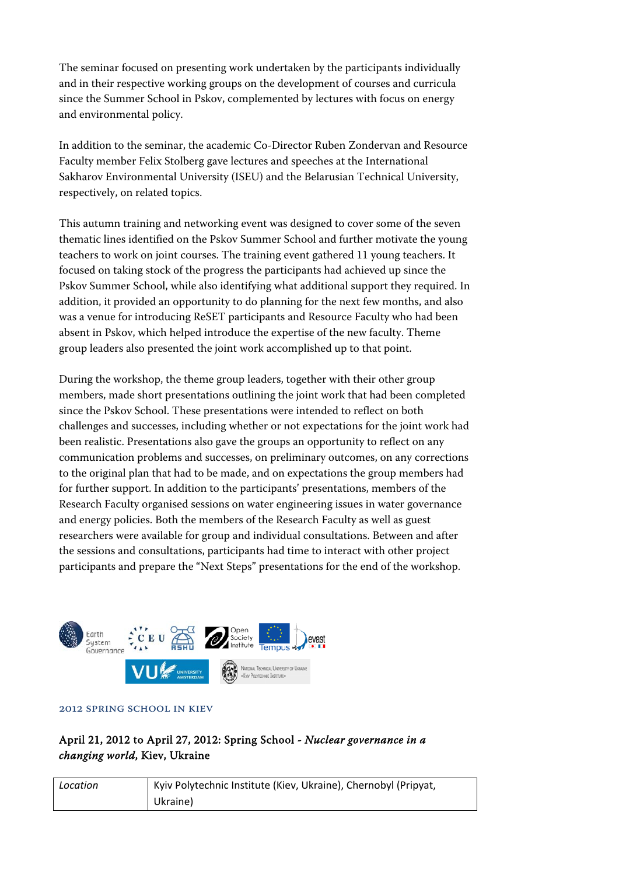The seminar focused on presenting work undertaken by the participants individually and in their respective working groups on the development of courses and curricula since the Summer School in Pskov, complemented by lectures with focus on energy and environmental policy.

In addition to the seminar, the academic Co-Director Ruben Zondervan and Resource Faculty member Felix Stolberg gave lectures and speeches at the International Sakharov Environmental University (ISEU) and the Belarusian Technical University, respectively, on related topics.

This autumn training and networking event was designed to cover some of the seven thematic lines identified on the Pskov Summer School and further motivate the young teachers to work on joint courses. The training event gathered 11 young teachers. It focused on taking stock of the progress the participants had achieved up since the Pskov Summer School, while also identifying what additional support they required. In addition, it provided an opportunity to do planning for the next few months, and also was a venue for introducing ReSET participants and Resource Faculty who had been absent in Pskov, which helped introduce the expertise of the new faculty. Theme group leaders also presented the joint work accomplished up to that point.

During the workshop, the theme group leaders, together with their other group members, made short presentations outlining the joint work that had been completed since the Pskov School. These presentations were intended to reflect on both challenges and successes, including whether or not expectations for the joint work had been realistic. Presentations also gave the groups an opportunity to reflect on any communication problems and successes, on preliminary outcomes, on any corrections to the original plan that had to be made, and on expectations the group members had for further support. In addition to the participants' presentations, members of the Research Faculty organised sessions on water engineering issues in water governance and energy policies. Both the members of the Research Faculty as well as guest researchers were available for group and individual consultations. Between and after the sessions and consultations, participants had time to interact with other project participants and prepare the "Next Steps" presentations for the end of the workshop.



#### 2012 Spring School in Kiev

### April 21, 2012 to April 27, 2012: Spring School - *Nuclear governance in a changing world*, Kiev, Ukraine

| Location | Kyiv Polytechnic Institute (Kiev, Ukraine), Chernobyl (Pripyat, |
|----------|-----------------------------------------------------------------|
|          | Ukraine)                                                        |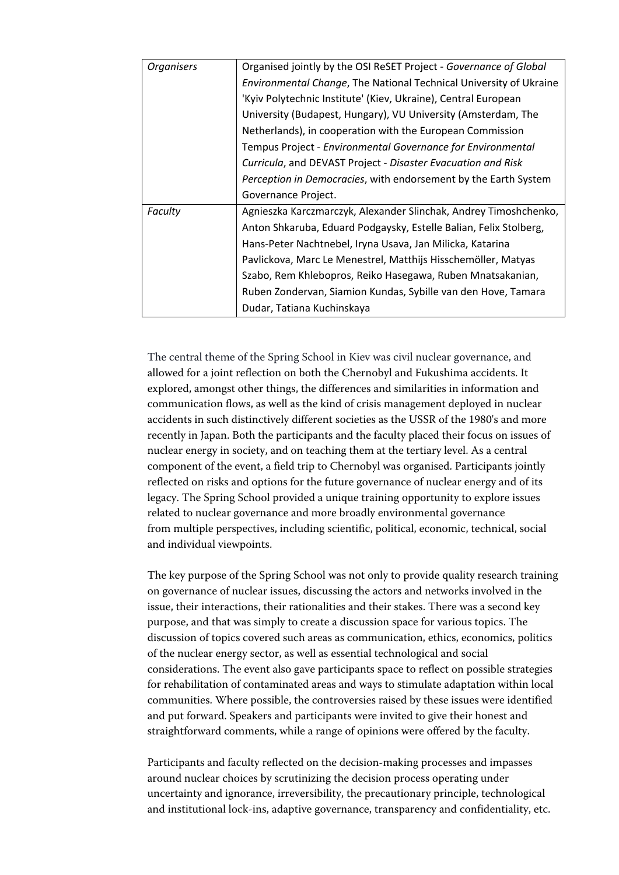| <b>Organisers</b> | Organised jointly by the OSI ReSET Project - Governance of Global  |
|-------------------|--------------------------------------------------------------------|
|                   | Environmental Change, The National Technical University of Ukraine |
|                   | 'Kyiv Polytechnic Institute' (Kiev, Ukraine), Central European     |
|                   | University (Budapest, Hungary), VU University (Amsterdam, The      |
|                   | Netherlands), in cooperation with the European Commission          |
|                   | Tempus Project - Environmental Governance for Environmental        |
|                   | Curricula, and DEVAST Project - Disaster Evacuation and Risk       |
|                   | Perception in Democracies, with endorsement by the Earth System    |
|                   | Governance Project.                                                |
| Faculty           | Agnieszka Karczmarczyk, Alexander Slinchak, Andrey Timoshchenko,   |
|                   | Anton Shkaruba, Eduard Podgaysky, Estelle Balian, Felix Stolberg,  |
|                   | Hans-Peter Nachtnebel, Iryna Usava, Jan Milicka, Katarina          |
|                   | Pavlickova, Marc Le Menestrel, Matthijs Hisschemöller, Matyas      |
|                   | Szabo, Rem Khlebopros, Reiko Hasegawa, Ruben Mnatsakanian,         |
|                   | Ruben Zondervan, Siamion Kundas, Sybille van den Hove, Tamara      |
|                   | Dudar, Tatiana Kuchinskaya                                         |

The central theme of the Spring School in Kiev was civil nuclear governance, and allowed for a joint reflection on both the Chernobyl and Fukushima accidents. It explored, amongst other things, the differences and similarities in information and communication flows, as well as the kind of crisis management deployed in nuclear accidents in such distinctively different societies as the USSR of the 1980's and more recently in Japan. Both the participants and the faculty placed their focus on issues of nuclear energy in society, and on teaching them at the tertiary level. As a central component of the event, a field trip to Chernobyl was organised. Participants jointly reflected on risks and options for the future governance of nuclear energy and of its legacy. The Spring School provided a unique training opportunity to explore issues related to nuclear governance and more broadly environmental governance from multiple perspectives, including scientific, political, economic, technical, social and individual viewpoints.

The key purpose of the Spring School was not only to provide quality research training on governance of nuclear issues, discussing the actors and networks involved in the issue, their interactions, their rationalities and their stakes. There was a second key purpose, and that was simply to create a discussion space for various topics. The discussion of topics covered such areas as communication, ethics, economics, politics of the nuclear energy sector, as well as essential technological and social considerations. The event also gave participants space to reflect on possible strategies for rehabilitation of contaminated areas and ways to stimulate adaptation within local communities. Where possible, the controversies raised by these issues were identified and put forward. Speakers and participants were invited to give their honest and straightforward comments, while a range of opinions were offered by the faculty.

Participants and faculty reflected on the decision-making processes and impasses around nuclear choices by scrutinizing the decision process operating under uncertainty and ignorance, irreversibility, the precautionary principle, technological and institutional lock-ins, adaptive governance, transparency and confidentiality, etc.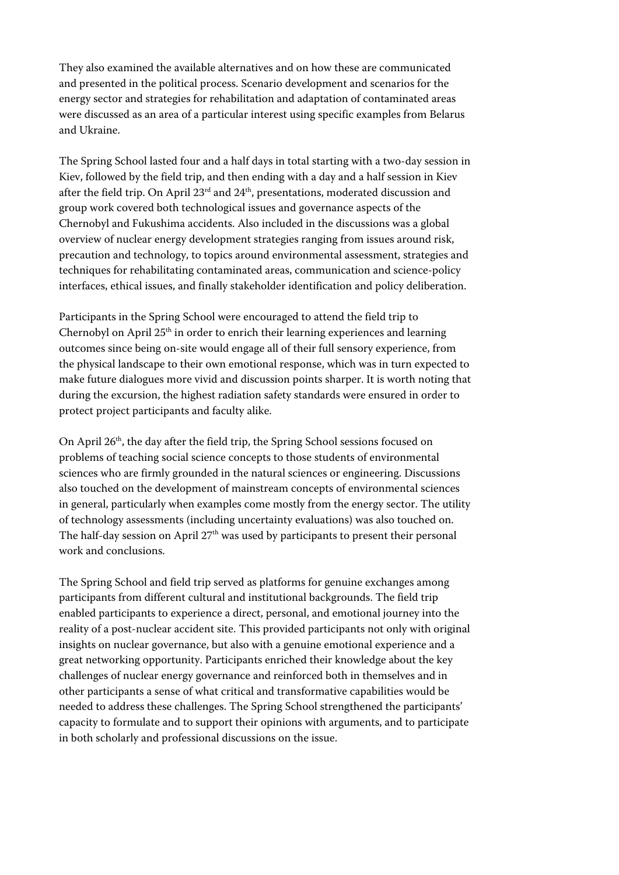They also examined the available alternatives and on how these are communicated and presented in the political process. Scenario development and scenarios for the energy sector and strategies for rehabilitation and adaptation of contaminated areas were discussed as an area of a particular interest using specific examples from Belarus and Ukraine.

The Spring School lasted four and a half days in total starting with a two-day session in Kiev, followed by the field trip, and then ending with a day and a half session in Kiev after the field trip. On April 23rd and 24th, presentations, moderated discussion and group work covered both technological issues and governance aspects of the Chernobyl and Fukushima accidents. Also included in the discussions was a global overview of nuclear energy development strategies ranging from issues around risk, precaution and technology, to topics around environmental assessment, strategies and techniques for rehabilitating contaminated areas, communication and science-policy interfaces, ethical issues, and finally stakeholder identification and policy deliberation.

Participants in the Spring School were encouraged to attend the field trip to Chernobyl on April 25<sup>th</sup> in order to enrich their learning experiences and learning outcomes since being on-site would engage all of their full sensory experience, from the physical landscape to their own emotional response, which was in turn expected to make future dialogues more vivid and discussion points sharper. It is worth noting that during the excursion, the highest radiation safety standards were ensured in order to protect project participants and faculty alike.

On April 26th, the day after the field trip, the Spring School sessions focused on problems of teaching social science concepts to those students of environmental sciences who are firmly grounded in the natural sciences or engineering. Discussions also touched on the development of mainstream concepts of environmental sciences in general, particularly when examples come mostly from the energy sector. The utility of technology assessments (including uncertainty evaluations) was also touched on. The half-day session on April  $27<sup>th</sup>$  was used by participants to present their personal work and conclusions.

The Spring School and field trip served as platforms for genuine exchanges among participants from different cultural and institutional backgrounds. The field trip enabled participants to experience a direct, personal, and emotional journey into the reality of a post-nuclear accident site. This provided participants not only with original insights on nuclear governance, but also with a genuine emotional experience and a great networking opportunity. Participants enriched their knowledge about the key challenges of nuclear energy governance and reinforced both in themselves and in other participants a sense of what critical and transformative capabilities would be needed to address these challenges. The Spring School strengthened the participants' capacity to formulate and to support their opinions with arguments, and to participate in both scholarly and professional discussions on the issue.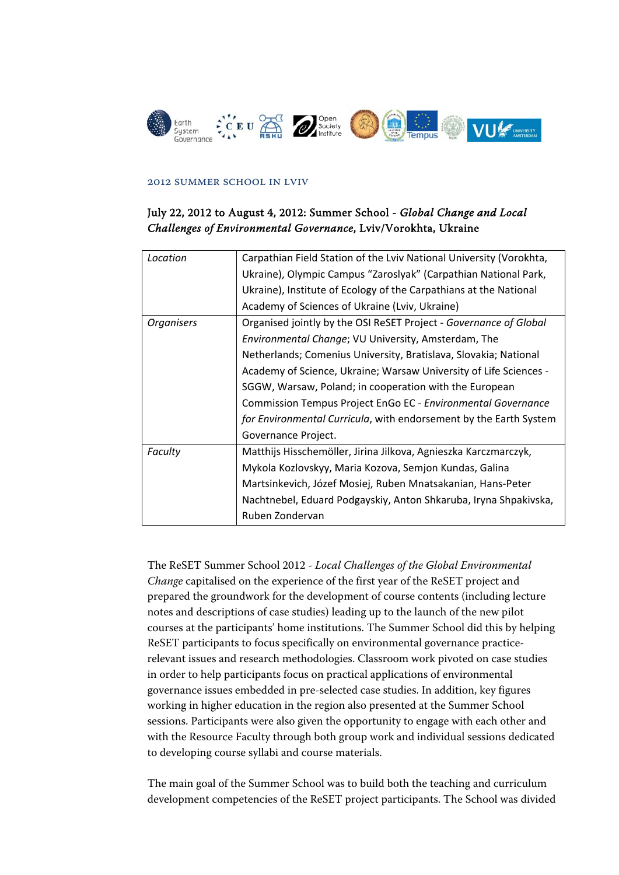

#### 2012 Summer School in Lviv

### July 22, 2012 to August 4, 2012: Summer School - *Global Change and Local Challenges of Environmental Governance*, Lviv/Vorokhta, Ukraine

| Location          | Carpathian Field Station of the Lviv National University (Vorokhta, |
|-------------------|---------------------------------------------------------------------|
|                   | Ukraine), Olympic Campus "Zaroslyak" (Carpathian National Park,     |
|                   | Ukraine), Institute of Ecology of the Carpathians at the National   |
|                   | Academy of Sciences of Ukraine (Lviv, Ukraine)                      |
| <b>Organisers</b> | Organised jointly by the OSI ReSET Project - Governance of Global   |
|                   | Environmental Change; VU University, Amsterdam, The                 |
|                   | Netherlands; Comenius University, Bratislava, Slovakia; National    |
|                   | Academy of Science, Ukraine; Warsaw University of Life Sciences -   |
|                   | SGGW, Warsaw, Poland; in cooperation with the European              |
|                   | Commission Tempus Project EnGo EC - Environmental Governance        |
|                   | for Environmental Curricula, with endorsement by the Earth System   |
|                   | Governance Project.                                                 |
| Faculty           | Matthijs Hisschemöller, Jirina Jilkova, Agnieszka Karczmarczyk,     |
|                   | Mykola Kozlovskyy, Maria Kozova, Semjon Kundas, Galina              |
|                   | Martsinkevich, Józef Mosiej, Ruben Mnatsakanian, Hans-Peter         |
|                   | Nachtnebel, Eduard Podgayskiy, Anton Shkaruba, Iryna Shpakivska,    |
|                   | Ruben Zondervan                                                     |

The ReSET Summer School 2012 - *Local Challenges of the Global Environmental Change* capitalised on the experience of the first year of the ReSET project and prepared the groundwork for the development of course contents (including lecture notes and descriptions of case studies) leading up to the launch of the new pilot courses at the participants' home institutions. The Summer School did this by helping ReSET participants to focus specifically on environmental governance practicerelevant issues and research methodologies. Classroom work pivoted on case studies in order to help participants focus on practical applications of environmental governance issues embedded in pre-selected case studies. In addition, key figures working in higher education in the region also presented at the Summer School sessions. Participants were also given the opportunity to engage with each other and with the Resource Faculty through both group work and individual sessions dedicated to developing course syllabi and course materials.

The main goal of the Summer School was to build both the teaching and curriculum development competencies of the ReSET project participants. The School was divided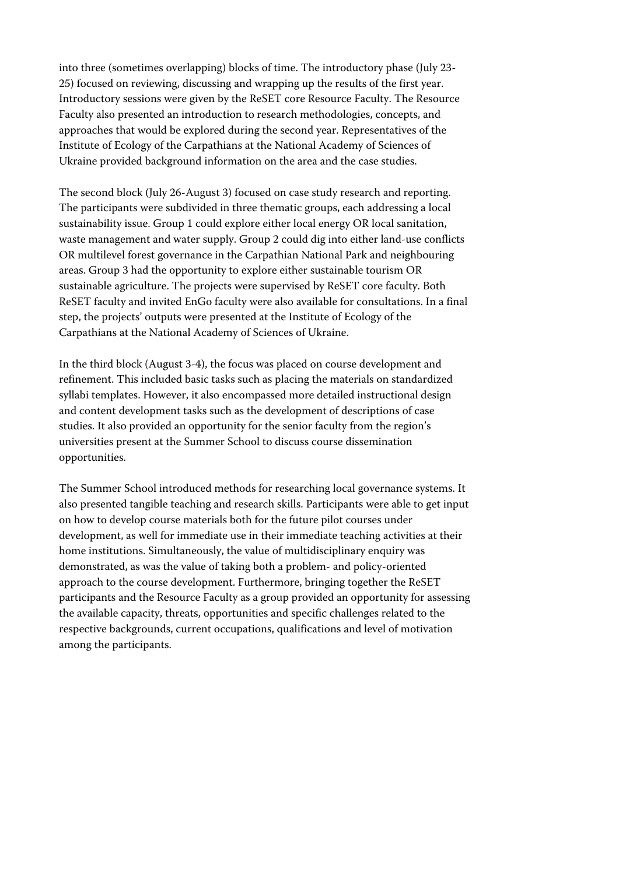into three (sometimes overlapping) blocks of time. The introductory phase (July 23- 25) focused on reviewing, discussing and wrapping up the results of the first year. Introductory sessions were given by the ReSET core Resource Faculty. The Resource Faculty also presented an introduction to research methodologies, concepts, and approaches that would be explored during the second year. Representatives of the Institute of Ecology of the Carpathians at the National Academy of Sciences of Ukraine provided background information on the area and the case studies.

The second block (July 26-August 3) focused on case study research and reporting. The participants were subdivided in three thematic groups, each addressing a local sustainability issue. Group 1 could explore either local energy OR local sanitation, waste management and water supply. Group 2 could dig into either land-use conflicts OR multilevel forest governance in the Carpathian National Park and neighbouring areas. Group 3 had the opportunity to explore either sustainable tourism OR sustainable agriculture. The projects were supervised by ReSET core faculty. Both ReSET faculty and invited EnGo faculty were also available for consultations. In a final step, the projects' outputs were presented at the Institute of Ecology of the Carpathians at the National Academy of Sciences of Ukraine.

In the third block (August 3-4), the focus was placed on course development and refinement. This included basic tasks such as placing the materials on standardized syllabi templates. However, it also encompassed more detailed instructional design and content development tasks such as the development of descriptions of case studies. It also provided an opportunity for the senior faculty from the region's universities present at the Summer School to discuss course dissemination opportunities.

The Summer School introduced methods for researching local governance systems. It also presented tangible teaching and research skills. Participants were able to get input on how to develop course materials both for the future pilot courses under development, as well for immediate use in their immediate teaching activities at their home institutions. Simultaneously, the value of multidisciplinary enquiry was demonstrated, as was the value of taking both a problem- and policy-oriented approach to the course development. Furthermore, bringing together the ReSET participants and the Resource Faculty as a group provided an opportunity for assessing the available capacity, threats, opportunities and specific challenges related to the respective backgrounds, current occupations, qualifications and level of motivation among the participants.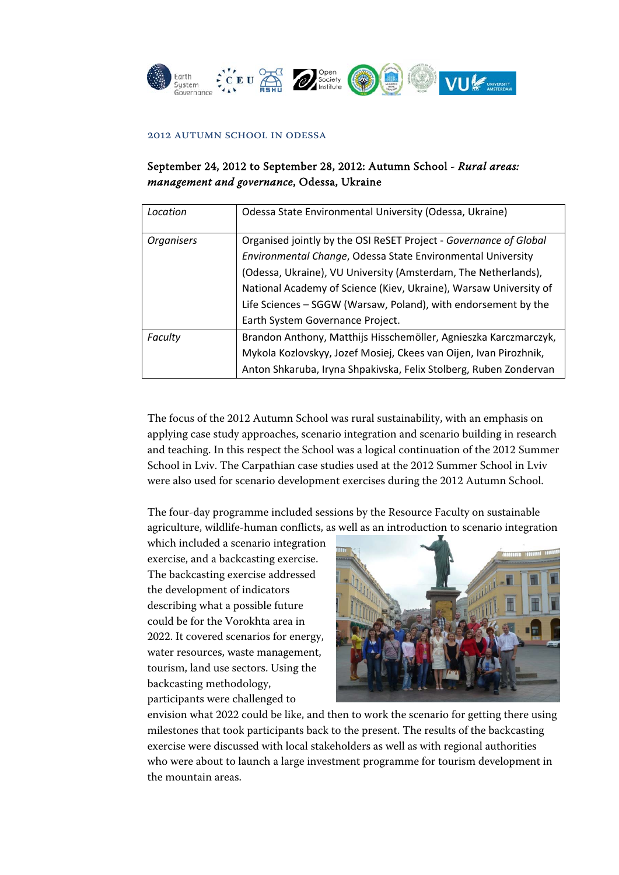

#### 2012 Autumn School in Odessa

### September 24, 2012 to September 28, 2012: Autumn School - *Rural areas: management and governance*, Odessa, Ukraine

| Location          | Odessa State Environmental University (Odessa, Ukraine)           |
|-------------------|-------------------------------------------------------------------|
| <b>Organisers</b> | Organised jointly by the OSI ReSET Project - Governance of Global |
|                   | Environmental Change, Odessa State Environmental University       |
|                   | (Odessa, Ukraine), VU University (Amsterdam, The Netherlands),    |
|                   | National Academy of Science (Kiev, Ukraine), Warsaw University of |
|                   | Life Sciences - SGGW (Warsaw, Poland), with endorsement by the    |
|                   | Earth System Governance Project.                                  |
| Faculty           | Brandon Anthony, Matthijs Hisschemöller, Agnieszka Karczmarczyk,  |
|                   | Mykola Kozlovskyy, Jozef Mosiej, Ckees van Oijen, Ivan Pirozhnik, |
|                   | Anton Shkaruba, Iryna Shpakivska, Felix Stolberg, Ruben Zondervan |

The focus of the 2012 Autumn School was rural sustainability, with an emphasis on applying case study approaches, scenario integration and scenario building in research and teaching. In this respect the School was a logical continuation of the 2012 Summer School in Lviv. The Carpathian case studies used at the 2012 Summer School in Lviv were also used for scenario development exercises during the 2012 Autumn School.

The four-day programme included sessions by the Resource Faculty on sustainable agriculture, wildlife-human conflicts, as well as an introduction to scenario integration

which included a scenario integration exercise, and a backcasting exercise. The backcasting exercise addressed the development of indicators describing what a possible future could be for the Vorokhta area in 2022. It covered scenarios for energy, water resources, waste management, tourism, land use sectors. Using the backcasting methodology, participants were challenged to



envision what 2022 could be like, and then to work the scenario for getting there using milestones that took participants back to the present. The results of the backcasting exercise were discussed with local stakeholders as well as with regional authorities who were about to launch a large investment programme for tourism development in the mountain areas.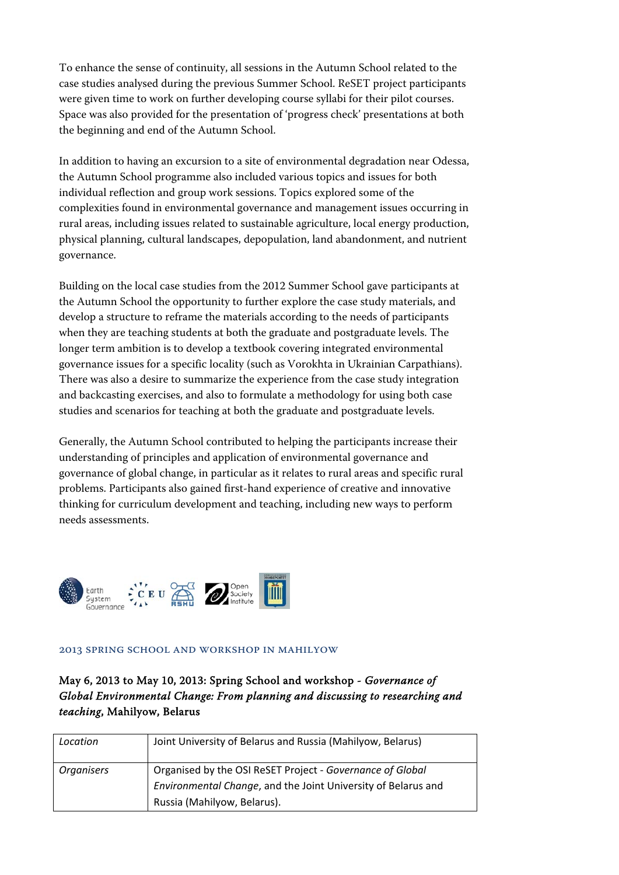To enhance the sense of continuity, all sessions in the Autumn School related to the case studies analysed during the previous Summer School. ReSET project participants were given time to work on further developing course syllabi for their pilot courses. Space was also provided for the presentation of 'progress check' presentations at both the beginning and end of the Autumn School.

In addition to having an excursion to a site of environmental degradation near Odessa, the Autumn School programme also included various topics and issues for both individual reflection and group work sessions. Topics explored some of the complexities found in environmental governance and management issues occurring in rural areas, including issues related to sustainable agriculture, local energy production, physical planning, cultural landscapes, depopulation, land abandonment, and nutrient governance.

Building on the local case studies from the 2012 Summer School gave participants at the Autumn School the opportunity to further explore the case study materials, and develop a structure to reframe the materials according to the needs of participants when they are teaching students at both the graduate and postgraduate levels. The longer term ambition is to develop a textbook covering integrated environmental governance issues for a specific locality (such as Vorokhta in Ukrainian Carpathians). There was also a desire to summarize the experience from the case study integration and backcasting exercises, and also to formulate a methodology for using both case studies and scenarios for teaching at both the graduate and postgraduate levels.

Generally, the Autumn School contributed to helping the participants increase their understanding of principles and application of environmental governance and governance of global change, in particular as it relates to rural areas and specific rural problems. Participants also gained first-hand experience of creative and innovative thinking for curriculum development and teaching, including new ways to perform needs assessments.



#### 2013 Spring School and workshop in Mahilyow

May 6, 2013 to May 10, 2013: Spring School and workshop - *Governance of Global Environmental Change: From planning and discussing to researching and teaching*, Mahilyow, Belarus

| Location          | Joint University of Belarus and Russia (Mahilyow, Belarus)    |
|-------------------|---------------------------------------------------------------|
| <b>Organisers</b> | Organised by the OSI ReSET Project - Governance of Global     |
|                   | Environmental Change, and the Joint University of Belarus and |
|                   | Russia (Mahilyow, Belarus).                                   |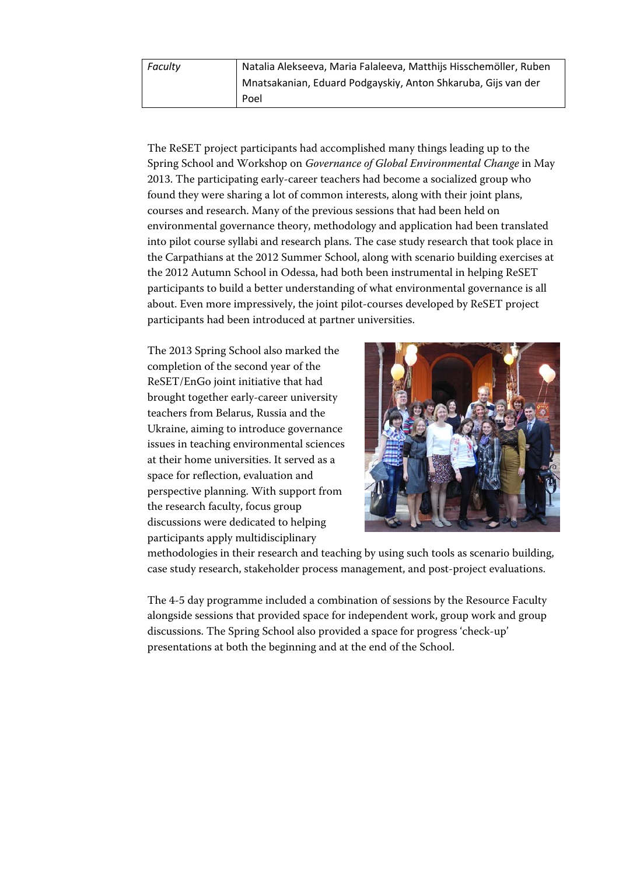The ReSET project participants had accomplished many things leading up to the Spring School and Workshop on *Governance of Global Environmental Change* in May 2013. The participating early-career teachers had become a socialized group who found they were sharing a lot of common interests, along with their joint plans, courses and research. Many of the previous sessions that had been held on environmental governance theory, methodology and application had been translated into pilot course syllabi and research plans. The case study research that took place in the Carpathians at the 2012 Summer School, along with scenario building exercises at the 2012 Autumn School in Odessa, had both been instrumental in helping ReSET participants to build a better understanding of what environmental governance is all about. Even more impressively, the joint pilot-courses developed by ReSET project participants had been introduced at partner universities.

The 2013 Spring School also marked the completion of the second year of the ReSET/EnGo joint initiative that had brought together early-career university teachers from Belarus, Russia and the Ukraine, aiming to introduce governance issues in teaching environmental sciences at their home universities. It served as a space for reflection, evaluation and perspective planning. With support from the research faculty, focus group discussions were dedicated to helping participants apply multidisciplinary



methodologies in their research and teaching by using such tools as scenario building, case study research, stakeholder process management, and post-project evaluations.

The 4-5 day programme included a combination of sessions by the Resource Faculty alongside sessions that provided space for independent work, group work and group discussions. The Spring School also provided a space for progress 'check-up' presentations at both the beginning and at the end of the School.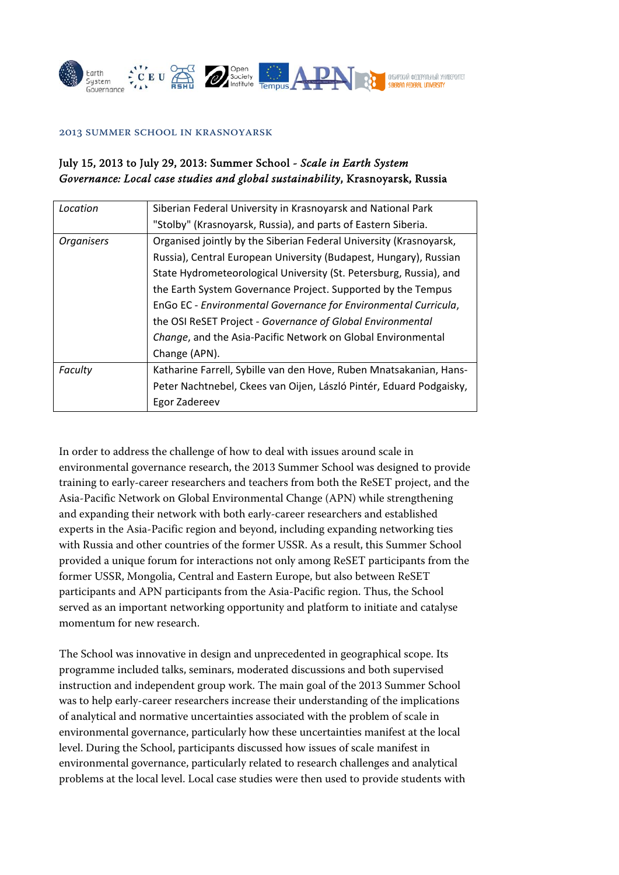

#### 2013 Summer School in Krasnoyarsk

### July 15, 2013 to July 29, 2013: Summer School - *Scale in Earth System Governance: Local case studies and global sustainability*, Krasnoyarsk, Russia

| Location          | Siberian Federal University in Krasnoyarsk and National Park        |
|-------------------|---------------------------------------------------------------------|
|                   | "Stolby" (Krasnoyarsk, Russia), and parts of Eastern Siberia.       |
| <b>Organisers</b> | Organised jointly by the Siberian Federal University (Krasnoyarsk,  |
|                   | Russia), Central European University (Budapest, Hungary), Russian   |
|                   | State Hydrometeorological University (St. Petersburg, Russia), and  |
|                   | the Earth System Governance Project. Supported by the Tempus        |
|                   | EnGo EC - Environmental Governance for Environmental Curricula,     |
|                   | the OSI ReSET Project - Governance of Global Environmental          |
|                   | Change, and the Asia-Pacific Network on Global Environmental        |
|                   | Change (APN).                                                       |
| Faculty           | Katharine Farrell, Sybille van den Hove, Ruben Mnatsakanian, Hans-  |
|                   | Peter Nachtnebel, Ckees van Oijen, László Pintér, Eduard Podgaisky, |
|                   | Egor Zadereev                                                       |

In order to address the challenge of how to deal with issues around scale in environmental governance research, the 2013 Summer School was designed to provide training to early-career researchers and teachers from both the ReSET project, and the Asia-Pacific Network on Global Environmental Change (APN) while strengthening and expanding their network with both early-career researchers and established experts in the Asia-Pacific region and beyond, including expanding networking ties with Russia and other countries of the former USSR. As a result, this Summer School provided a unique forum for interactions not only among ReSET participants from the former USSR, Mongolia, Central and Eastern Europe, but also between ReSET participants and APN participants from the Asia-Pacific region. Thus, the School served as an important networking opportunity and platform to initiate and catalyse momentum for new research.

The School was innovative in design and unprecedented in geographical scope. Its programme included talks, seminars, moderated discussions and both supervised instruction and independent group work. The main goal of the 2013 Summer School was to help early-career researchers increase their understanding of the implications of analytical and normative uncertainties associated with the problem of scale in environmental governance, particularly how these uncertainties manifest at the local level. During the School, participants discussed how issues of scale manifest in environmental governance, particularly related to research challenges and analytical problems at the local level. Local case studies were then used to provide students with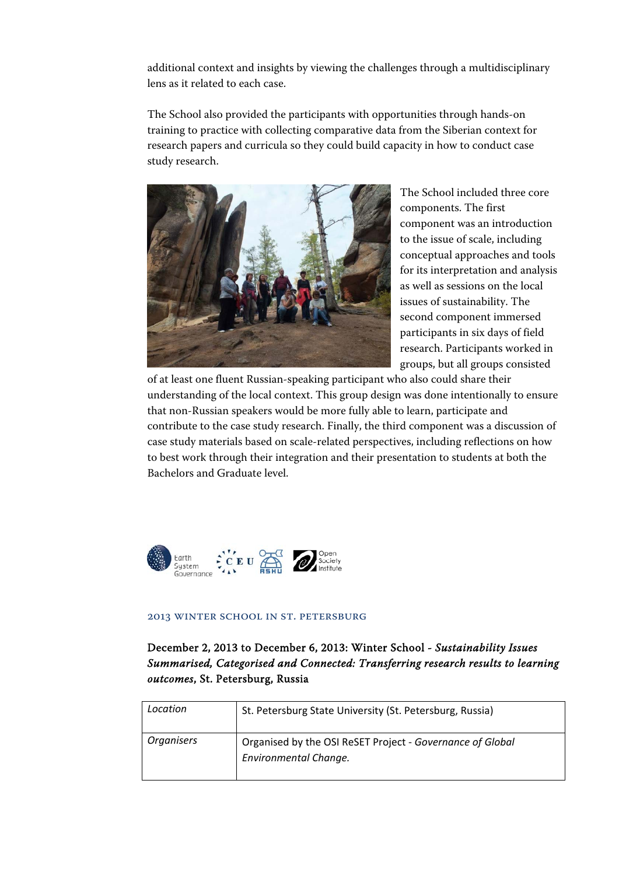additional context and insights by viewing the challenges through a multidisciplinary lens as it related to each case.

The School also provided the participants with opportunities through hands-on training to practice with collecting comparative data from the Siberian context for research papers and curricula so they could build capacity in how to conduct case study research.



The School included three core components. The first component was an introduction to the issue of scale, including conceptual approaches and tools for its interpretation and analysis as well as sessions on the local issues of sustainability. The second component immersed participants in six days of field research. Participants worked in groups, but all groups consisted

of at least one fluent Russian-speaking participant who also could share their understanding of the local context. This group design was done intentionally to ensure that non-Russian speakers would be more fully able to learn, participate and contribute to the case study research. Finally, the third component was a discussion of case study materials based on scale-related perspectives, including reflections on how to best work through their integration and their presentation to students at both the Bachelors and Graduate level.



#### 2013 Winter School in St. Petersburg

December 2, 2013 to December 6, 2013: Winter School - *Sustainability Issues Summarised, Categorised and Connected: Transferring research results to learning outcomes*, St. Petersburg, Russia

| Location          | St. Petersburg State University (St. Petersburg, Russia)                           |
|-------------------|------------------------------------------------------------------------------------|
| <b>Organisers</b> | Organised by the OSI ReSET Project - Governance of Global<br>Environmental Change. |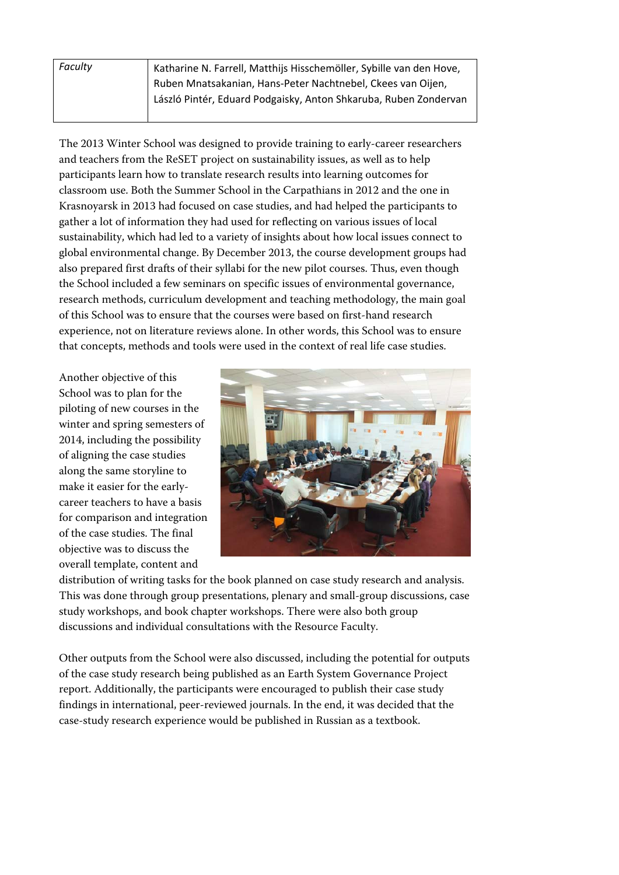| Faculty | Katharine N. Farrell, Matthijs Hisschemöller, Sybille van den Hove, |
|---------|---------------------------------------------------------------------|
|         | Ruben Mnatsakanian, Hans-Peter Nachtnebel, Ckees van Oijen,         |
|         | László Pintér, Eduard Podgaisky, Anton Shkaruba, Ruben Zondervan    |
|         |                                                                     |

The 2013 Winter School was designed to provide training to early-career researchers and teachers from the ReSET project on sustainability issues, as well as to help participants learn how to translate research results into learning outcomes for classroom use. Both the Summer School in the Carpathians in 2012 and the one in Krasnoyarsk in 2013 had focused on case studies, and had helped the participants to gather a lot of information they had used for reflecting on various issues of local sustainability, which had led to a variety of insights about how local issues connect to global environmental change. By December 2013, the course development groups had also prepared first drafts of their syllabi for the new pilot courses. Thus, even though the School included a few seminars on specific issues of environmental governance, research methods, curriculum development and teaching methodology, the main goal of this School was to ensure that the courses were based on first-hand research experience, not on literature reviews alone. In other words, this School was to ensure that concepts, methods and tools were used in the context of real life case studies.

Another objective of this School was to plan for the piloting of new courses in the winter and spring semesters of 2014, including the possibility of aligning the case studies along the same storyline to make it easier for the earlycareer teachers to have a basis for comparison and integration of the case studies. The final objective was to discuss the overall template, content and



distribution of writing tasks for the book planned on case study research and analysis. This was done through group presentations, plenary and small-group discussions, case study workshops, and book chapter workshops. There were also both group discussions and individual consultations with the Resource Faculty.

Other outputs from the School were also discussed, including the potential for outputs of the case study research being published as an Earth System Governance Project report. Additionally, the participants were encouraged to publish their case study findings in international, peer-reviewed journals. In the end, it was decided that the case-study research experience would be published in Russian as a textbook.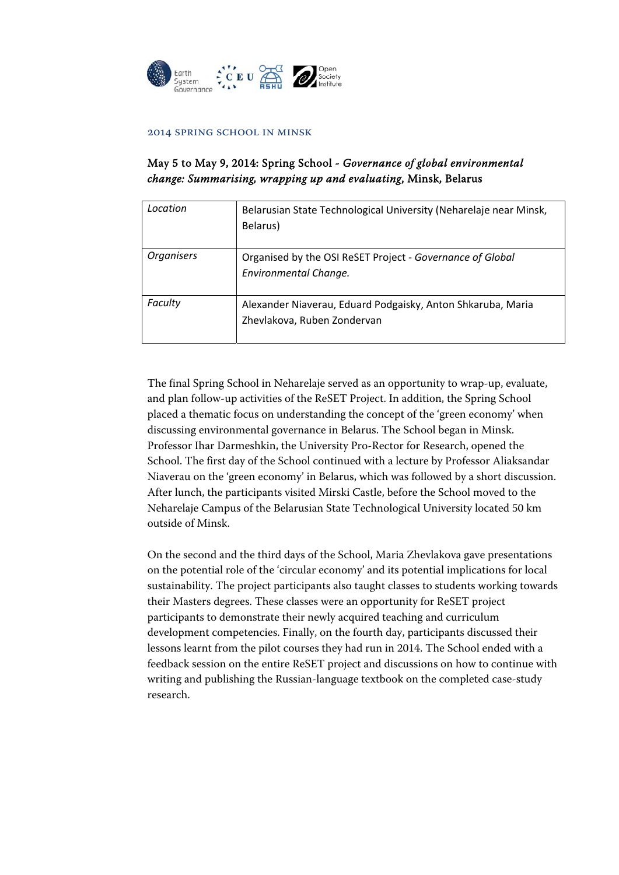

#### 2014 Spring School in Minsk

### May 5 to May 9, 2014: Spring School - *Governance of global environmental change: Summarising, wrapping up and evaluating*, Minsk, Belarus

| Location          | Belarusian State Technological University (Neharelaje near Minsk,<br>Belarus)              |
|-------------------|--------------------------------------------------------------------------------------------|
| <b>Organisers</b> | Organised by the OSI ReSET Project - Governance of Global<br><b>Environmental Change.</b>  |
| Faculty           | Alexander Niaverau, Eduard Podgaisky, Anton Shkaruba, Maria<br>Zhevlakova, Ruben Zondervan |

The final Spring School in Neharelaje served as an opportunity to wrap-up, evaluate, and plan follow-up activities of the ReSET Project. In addition, the Spring School placed a thematic focus on understanding the concept of the 'green economy' when discussing environmental governance in Belarus. The School began in Minsk. Professor Ihar Darmeshkin, the University Pro-Rector for Research, opened the School. The first day of the School continued with a lecture by Professor Aliaksandar Niaverau on the 'green economy' in Belarus, which was followed by a short discussion. After lunch, the participants visited Mirski Castle, before the School moved to the Neharelaje Campus of the Belarusian State Technological University located 50 km outside of Minsk.

On the second and the third days of the School, Maria Zhevlakova gave presentations on the potential role of the 'circular economy' and its potential implications for local sustainability. The project participants also taught classes to students working towards their Masters degrees. These classes were an opportunity for ReSET project participants to demonstrate their newly acquired teaching and curriculum development competencies. Finally, on the fourth day, participants discussed their lessons learnt from the pilot courses they had run in 2014. The School ended with a feedback session on the entire ReSET project and discussions on how to continue with writing and publishing the Russian-language textbook on the completed case-study research.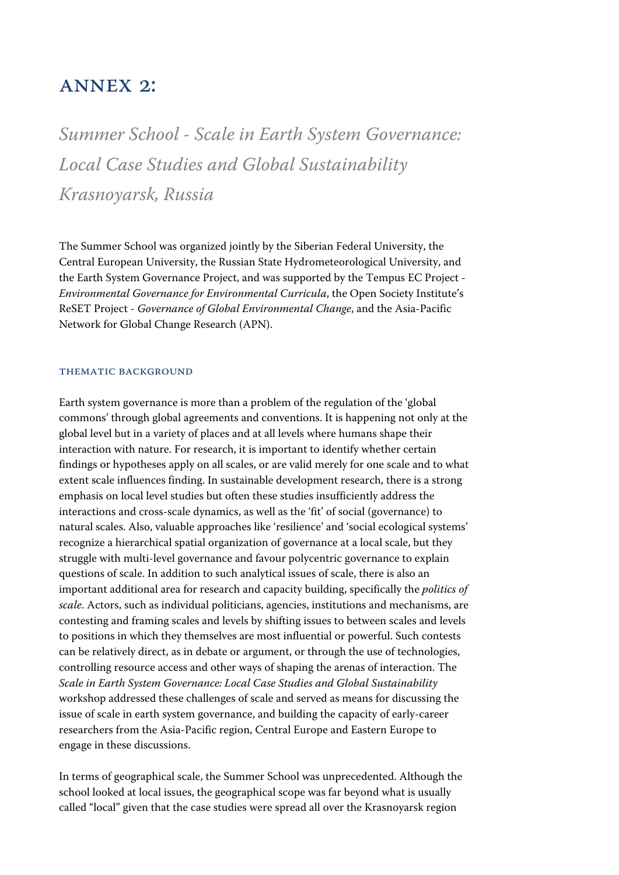## Annex 2:

*Summer School - Scale in Earth System Governance: Local Case Studies and Global Sustainability Krasnoyarsk, Russia* 

The Summer School was organized jointly by the Siberian Federal University, the Central European University, the Russian State Hydrometeorological University, and the Earth System Governance Project, and was supported by the Tempus EC Project - *Environmental Governance for Environmental Curricula*, the Open Society Institute's ReSET Project - *Governance of Global Environmental Change*, and the Asia-Pacific Network for Global Change Research (APN).

#### THEMATIC BACKGROUND

Earth system governance is more than a problem of the regulation of the 'global commons' through global agreements and conventions. It is happening not only at the global level but in a variety of places and at all levels where humans shape their interaction with nature. For research, it is important to identify whether certain findings or hypotheses apply on all scales, or are valid merely for one scale and to what extent scale influences finding. In sustainable development research, there is a strong emphasis on local level studies but often these studies insufficiently address the interactions and cross-scale dynamics, as well as the 'fit' of social (governance) to natural scales. Also, valuable approaches like 'resilience' and 'social ecological systems' recognize a hierarchical spatial organization of governance at a local scale, but they struggle with multi-level governance and favour polycentric governance to explain questions of scale. In addition to such analytical issues of scale, there is also an important additional area for research and capacity building, specifically the *politics of scale*. Actors, such as individual politicians, agencies, institutions and mechanisms, are contesting and framing scales and levels by shifting issues to between scales and levels to positions in which they themselves are most influential or powerful. Such contests can be relatively direct, as in debate or argument, or through the use of technologies, controlling resource access and other ways of shaping the arenas of interaction. The *Scale in Earth System Governance: Local Case Studies and Global Sustainability* workshop addressed these challenges of scale and served as means for discussing the issue of scale in earth system governance, and building the capacity of early-career researchers from the Asia-Pacific region, Central Europe and Eastern Europe to engage in these discussions.

In terms of geographical scale, the Summer School was unprecedented. Although the school looked at local issues, the geographical scope was far beyond what is usually called "local" given that the case studies were spread all over the Krasnoyarsk region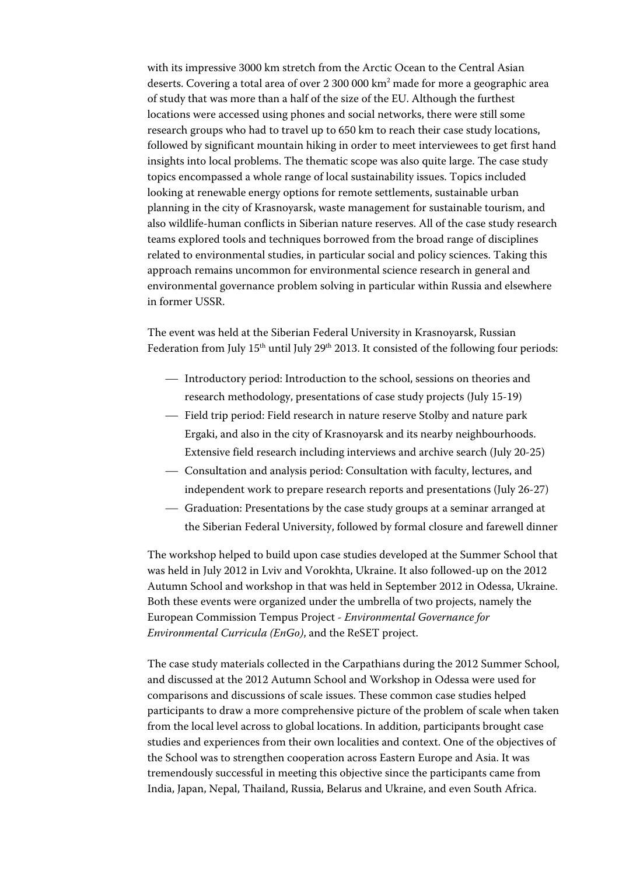with its impressive 3000 km stretch from the Arctic Ocean to the Central Asian deserts. Covering a total area of over 2 300 000 km<sup>2</sup> made for more a geographic area of study that was more than a half of the size of the EU. Although the furthest locations were accessed using phones and social networks, there were still some research groups who had to travel up to 650 km to reach their case study locations, followed by significant mountain hiking in order to meet interviewees to get first hand insights into local problems. The thematic scope was also quite large. The case study topics encompassed a whole range of local sustainability issues. Topics included looking at renewable energy options for remote settlements, sustainable urban planning in the city of Krasnoyarsk, waste management for sustainable tourism, and also wildlife-human conflicts in Siberian nature reserves. All of the case study research teams explored tools and techniques borrowed from the broad range of disciplines related to environmental studies, in particular social and policy sciences. Taking this approach remains uncommon for environmental science research in general and environmental governance problem solving in particular within Russia and elsewhere in former USSR.

The event was held at the Siberian Federal University in Krasnoyarsk, Russian Federation from July 15<sup>th</sup> until July 29<sup>th</sup> 2013. It consisted of the following four periods:

- Introductory period: Introduction to the school, sessions on theories and research methodology, presentations of case study projects (July 15-19)
- $-$  Field trip period: Field research in nature reserve Stolby and nature park Ergaki, and also in the city of Krasnoyarsk and its nearby neighbourhoods. Extensive field research including interviews and archive search (July 20-25)
- Consultation and analysis period: Consultation with faculty, lectures, and independent work to prepare research reports and presentations (July 26-27)
- Graduation: Presentations by the case study groups at a seminar arranged at the Siberian Federal University, followed by formal closure and farewell dinner

The workshop helped to build upon case studies developed at the Summer School that was held in July 2012 in Lviv and Vorokhta, Ukraine. It also followed-up on the 2012 Autumn School and workshop in that was held in September 2012 in Odessa, Ukraine. Both these events were organized under the umbrella of two projects, namely the European Commission Tempus Project - *Environmental Governance for Environmental Curricula (EnGo)*, and the ReSET project.

The case study materials collected in the Carpathians during the 2012 Summer School, and discussed at the 2012 Autumn School and Workshop in Odessa were used for comparisons and discussions of scale issues. These common case studies helped participants to draw a more comprehensive picture of the problem of scale when taken from the local level across to global locations. In addition, participants brought case studies and experiences from their own localities and context. One of the objectives of the School was to strengthen cooperation across Eastern Europe and Asia. It was tremendously successful in meeting this objective since the participants came from India, Japan, Nepal, Thailand, Russia, Belarus and Ukraine, and even South Africa.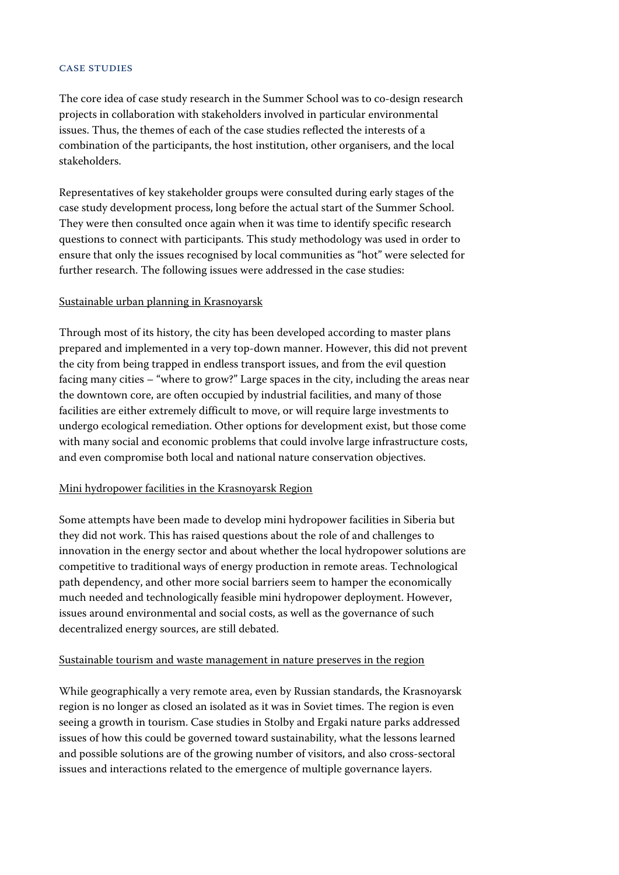#### Case Studies

The core idea of case study research in the Summer School was to co-design research projects in collaboration with stakeholders involved in particular environmental issues. Thus, the themes of each of the case studies reflected the interests of a combination of the participants, the host institution, other organisers, and the local stakeholders.

Representatives of key stakeholder groups were consulted during early stages of the case study development process, long before the actual start of the Summer School. They were then consulted once again when it was time to identify specific research questions to connect with participants. This study methodology was used in order to ensure that only the issues recognised by local communities as "hot" were selected for further research. The following issues were addressed in the case studies:

#### Sustainable urban planning in Krasnoyarsk

Through most of its history, the city has been developed according to master plans prepared and implemented in a very top-down manner. However, this did not prevent the city from being trapped in endless transport issues, and from the evil question facing many cities – "where to grow?" Large spaces in the city, including the areas near the downtown core, are often occupied by industrial facilities, and many of those facilities are either extremely difficult to move, or will require large investments to undergo ecological remediation. Other options for development exist, but those come with many social and economic problems that could involve large infrastructure costs, and even compromise both local and national nature conservation objectives.

#### Mini hydropower facilities in the Krasnoyarsk Region

Some attempts have been made to develop mini hydropower facilities in Siberia but they did not work. This has raised questions about the role of and challenges to innovation in the energy sector and about whether the local hydropower solutions are competitive to traditional ways of energy production in remote areas. Technological path dependency, and other more social barriers seem to hamper the economically much needed and technologically feasible mini hydropower deployment. However, issues around environmental and social costs, as well as the governance of such decentralized energy sources, are still debated.

#### Sustainable tourism and waste management in nature preserves in the region

While geographically a very remote area, even by Russian standards, the Krasnoyarsk region is no longer as closed an isolated as it was in Soviet times. The region is even seeing a growth in tourism. Case studies in Stolby and Ergaki nature parks addressed issues of how this could be governed toward sustainability, what the lessons learned and possible solutions are of the growing number of visitors, and also cross-sectoral issues and interactions related to the emergence of multiple governance layers.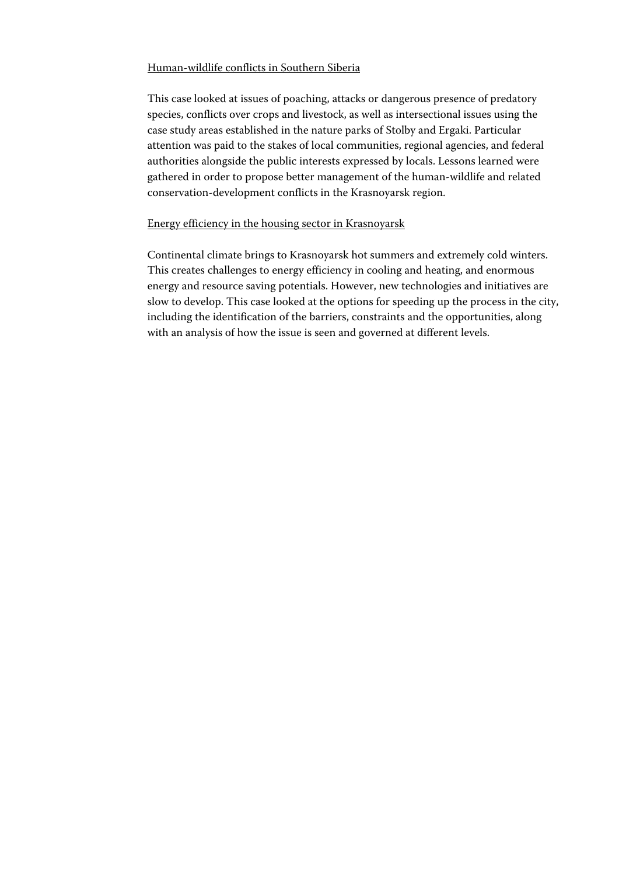#### Human-wildlife conflicts in Southern Siberia

This case looked at issues of poaching, attacks or dangerous presence of predatory species, conflicts over crops and livestock, as well as intersectional issues using the case study areas established in the nature parks of Stolby and Ergaki. Particular attention was paid to the stakes of local communities, regional agencies, and federal authorities alongside the public interests expressed by locals. Lessons learned were gathered in order to propose better management of the human-wildlife and related conservation-development conflicts in the Krasnoyarsk region.

#### Energy efficiency in the housing sector in Krasnoyarsk

Continental climate brings to Krasnoyarsk hot summers and extremely cold winters. This creates challenges to energy efficiency in cooling and heating, and enormous energy and resource saving potentials. However, new technologies and initiatives are slow to develop. This case looked at the options for speeding up the process in the city, including the identification of the barriers, constraints and the opportunities, along with an analysis of how the issue is seen and governed at different levels.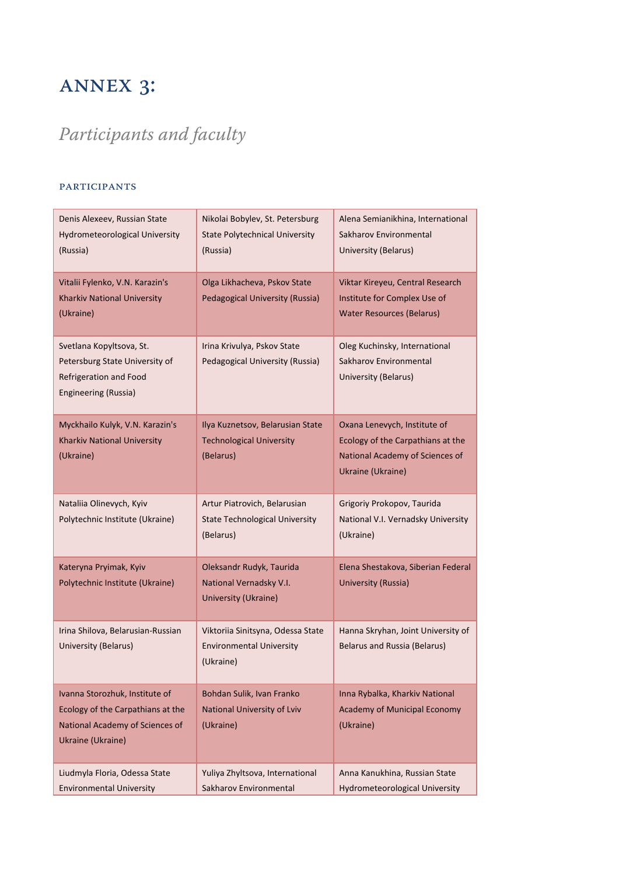# Annex 3:

# *Participants and faculty*

### **PARTICIPANTS**

| Denis Alexeev, Russian State<br><b>Hydrometeorological University</b><br>(Russia)                                           | Nikolai Bobylev, St. Petersburg<br><b>State Polytechnical University</b><br>(Russia) | Alena Semianikhina, International<br>Sakharov Environmental<br>University (Belarus)                                       |
|-----------------------------------------------------------------------------------------------------------------------------|--------------------------------------------------------------------------------------|---------------------------------------------------------------------------------------------------------------------------|
| Vitalii Fylenko, V.N. Karazin's<br>Kharkiv National University<br>(Ukraine)                                                 | Olga Likhacheva, Pskov State<br>Pedagogical University (Russia)                      | Viktar Kireyeu, Central Research<br>Institute for Complex Use of<br><b>Water Resources (Belarus)</b>                      |
| Svetlana Kopyltsova, St.<br>Petersburg State University of<br>Refrigeration and Food<br>Engineering (Russia)                | Irina Krivulya, Pskov State<br>Pedagogical University (Russia)                       | Oleg Kuchinsky, International<br>Sakharov Environmental<br>University (Belarus)                                           |
| Myckhailo Kulyk, V.N. Karazin's<br>Kharkiv National University<br>(Ukraine)                                                 | Ilya Kuznetsov, Belarusian State<br><b>Technological University</b><br>(Belarus)     | Oxana Lenevych, Institute of<br>Ecology of the Carpathians at the<br>National Academy of Sciences of<br>Ukraine (Ukraine) |
| Nataliia Olinevych, Kyiv<br>Polytechnic Institute (Ukraine)                                                                 | Artur Piatrovich, Belarusian<br><b>State Technological University</b><br>(Belarus)   | Grigoriy Prokopov, Taurida<br>National V.I. Vernadsky University<br>(Ukraine)                                             |
| Kateryna Pryimak, Kyiv<br>Polytechnic Institute (Ukraine)                                                                   | Oleksandr Rudyk, Taurida<br>National Vernadsky V.I.<br>University (Ukraine)          | Elena Shestakova, Siberian Federal<br>University (Russia)                                                                 |
| Irina Shilova, Belarusian-Russian<br>University (Belarus)                                                                   | Viktoriia Sinitsyna, Odessa State<br><b>Environmental University</b><br>(Ukraine)    | Hanna Skryhan, Joint University of<br><b>Belarus and Russia (Belarus)</b>                                                 |
| Ivanna Storozhuk, Institute of<br>Ecology of the Carpathians at the<br>National Academy of Sciences of<br>Ukraine (Ukraine) | Bohdan Sulik, Ivan Franko<br>National University of Lviv<br>(Ukraine)                | Inna Rybalka, Kharkiv National<br>Academy of Municipal Economy<br>(Ukraine)                                               |
| Liudmyla Floria, Odessa State<br><b>Environmental University</b>                                                            | Yuliya Zhyltsova, International<br>Sakharov Environmental                            | Anna Kanukhina, Russian State<br><b>Hydrometeorological University</b>                                                    |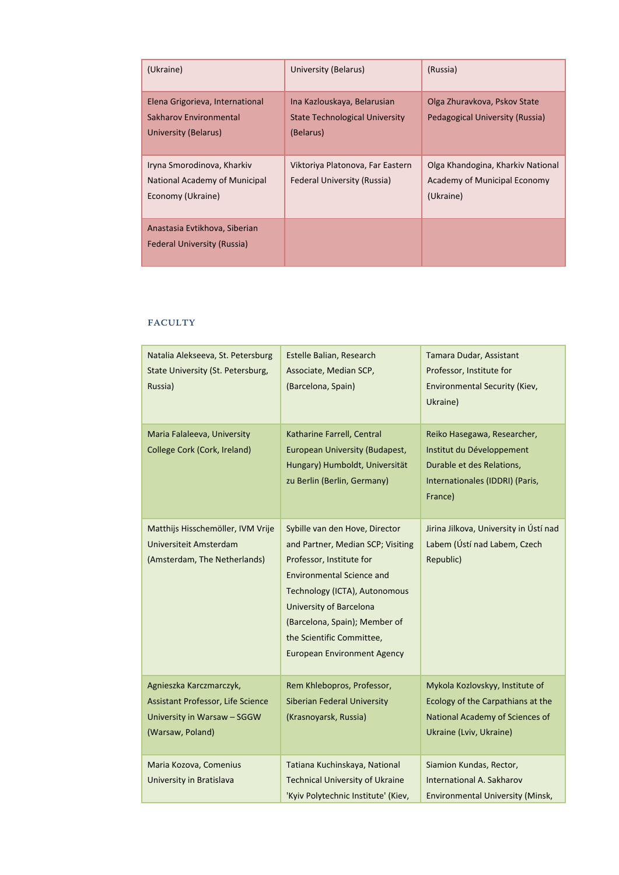| (Ukraine)                                                                         | University (Belarus)                                                       | (Russia)                                                                       |
|-----------------------------------------------------------------------------------|----------------------------------------------------------------------------|--------------------------------------------------------------------------------|
| Elena Grigorieva, International<br>Sakharov Environmental<br>University (Belarus) | Ina Kazlouskaya, Belarusian<br>State Technological University<br>(Belarus) | Olga Zhuravkova, Pskov State<br>Pedagogical University (Russia)                |
| Iryna Smorodinova, Kharkiv<br>National Academy of Municipal<br>Economy (Ukraine)  | Viktoriya Platonova, Far Eastern<br>Federal University (Russia)            | Olga Khandogina, Kharkiv National<br>Academy of Municipal Economy<br>(Ukraine) |
| Anastasia Evtikhova, Siberian<br><b>Federal University (Russia)</b>               |                                                                            |                                                                                |

### Faculty

| Natalia Alekseeva, St. Petersburg<br>State University (St. Petersburg,<br>Russia)                               | Estelle Balian, Research<br>Associate, Median SCP,<br>(Barcelona, Spain)                                                                                                                                                                                                                                   | Tamara Dudar, Assistant<br>Professor, Institute for<br><b>Environmental Security (Kiev,</b><br>Ukraine)                             |
|-----------------------------------------------------------------------------------------------------------------|------------------------------------------------------------------------------------------------------------------------------------------------------------------------------------------------------------------------------------------------------------------------------------------------------------|-------------------------------------------------------------------------------------------------------------------------------------|
| Maria Falaleeva, University<br>College Cork (Cork, Ireland)                                                     | Katharine Farrell, Central<br>European University (Budapest,<br>Hungary) Humboldt, Universität<br>zu Berlin (Berlin, Germany)                                                                                                                                                                              | Reiko Hasegawa, Researcher,<br>Institut du Développement<br>Durable et des Relations,<br>Internationales (IDDRI) (Paris,<br>France) |
| Matthijs Hisschemöller, IVM Vrije<br>Universiteit Amsterdam<br>(Amsterdam, The Netherlands)                     | Sybille van den Hove, Director<br>and Partner, Median SCP; Visiting<br>Professor, Institute for<br><b>Environmental Science and</b><br>Technology (ICTA), Autonomous<br><b>University of Barcelona</b><br>(Barcelona, Spain); Member of<br>the Scientific Committee,<br><b>European Environment Agency</b> | Jirina Jilkova, University in Ústí nad<br>Labem (Ústí nad Labem, Czech<br>Republic)                                                 |
| Agnieszka Karczmarczyk,<br>Assistant Professor, Life Science<br>University in Warsaw - SGGW<br>(Warsaw, Poland) | Rem Khlebopros, Professor,<br><b>Siberian Federal University</b><br>(Krasnoyarsk, Russia)                                                                                                                                                                                                                  | Mykola Kozlovskyy, Institute of<br>Ecology of the Carpathians at the<br>National Academy of Sciences of<br>Ukraine (Lviv, Ukraine)  |
| Maria Kozova, Comenius<br>University in Bratislava                                                              | Tatiana Kuchinskaya, National<br><b>Technical University of Ukraine</b><br>'Kyiv Polytechnic Institute' (Kiev,                                                                                                                                                                                             | Siamion Kundas, Rector,<br>International A. Sakharov<br><b>Environmental University (Minsk,</b>                                     |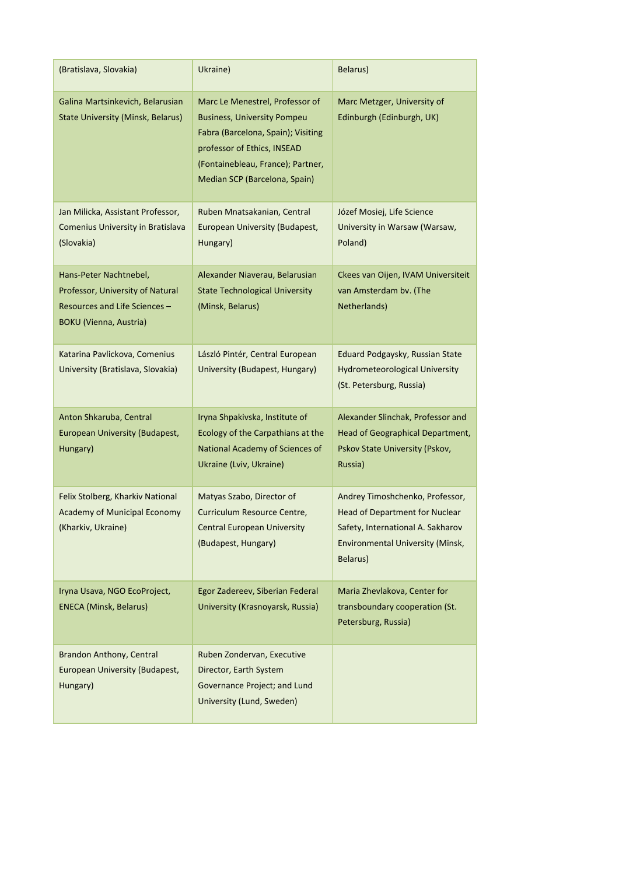| (Bratislava, Slovakia)                                                                                                       | Ukraine)                                                                                                                                                                                                         | Belarus)                                                                                                                                                             |
|------------------------------------------------------------------------------------------------------------------------------|------------------------------------------------------------------------------------------------------------------------------------------------------------------------------------------------------------------|----------------------------------------------------------------------------------------------------------------------------------------------------------------------|
| Galina Martsinkevich, Belarusian<br><b>State University (Minsk, Belarus)</b>                                                 | Marc Le Menestrel, Professor of<br><b>Business, University Pompeu</b><br>Fabra (Barcelona, Spain); Visiting<br>professor of Ethics, INSEAD<br>(Fontainebleau, France); Partner,<br>Median SCP (Barcelona, Spain) | Marc Metzger, University of<br>Edinburgh (Edinburgh, UK)                                                                                                             |
| Jan Milicka, Assistant Professor,<br>Comenius University in Bratislava<br>(Slovakia)                                         | Ruben Mnatsakanian, Central<br>European University (Budapest,<br>Hungary)                                                                                                                                        | Józef Mosiej, Life Science<br>University in Warsaw (Warsaw,<br>Poland)                                                                                               |
| Hans-Peter Nachtnebel,<br>Professor, University of Natural<br>Resources and Life Sciences -<br><b>BOKU (Vienna, Austria)</b> | Alexander Niaverau, Belarusian<br><b>State Technological University</b><br>(Minsk, Belarus)                                                                                                                      | Ckees van Oijen, IVAM Universiteit<br>van Amsterdam bv. (The<br>Netherlands)                                                                                         |
| Katarina Pavlickova, Comenius<br>University (Bratislava, Slovakia)                                                           | László Pintér, Central European<br>University (Budapest, Hungary)                                                                                                                                                | Eduard Podgaysky, Russian State<br><b>Hydrometeorological University</b><br>(St. Petersburg, Russia)                                                                 |
| Anton Shkaruba, Central<br>European University (Budapest,<br>Hungary)                                                        | Iryna Shpakivska, Institute of<br>Ecology of the Carpathians at the<br>National Academy of Sciences of<br>Ukraine (Lviv, Ukraine)                                                                                | Alexander Slinchak, Professor and<br>Head of Geographical Department,<br>Pskov State University (Pskov,<br>Russia)                                                   |
| Felix Stolberg, Kharkiv National<br>Academy of Municipal Economy<br>(Kharkiv, Ukraine)                                       | Matyas Szabo, Director of<br>Curriculum Resource Centre,<br><b>Central European University</b><br>(Budapest, Hungary)                                                                                            | Andrey Timoshchenko, Professor,<br><b>Head of Department for Nuclear</b><br>Safety, International A. Sakharov<br><b>Environmental University (Minsk,</b><br>Belarus) |
| Iryna Usava, NGO EcoProject,<br><b>ENECA (Minsk, Belarus)</b>                                                                | Egor Zadereev, Siberian Federal<br>University (Krasnoyarsk, Russia)                                                                                                                                              | Maria Zhevlakova, Center for<br>transboundary cooperation (St.<br>Petersburg, Russia)                                                                                |
| Brandon Anthony, Central<br>European University (Budapest,<br>Hungary)                                                       | Ruben Zondervan, Executive<br>Director, Earth System<br>Governance Project; and Lund<br>University (Lund, Sweden)                                                                                                |                                                                                                                                                                      |